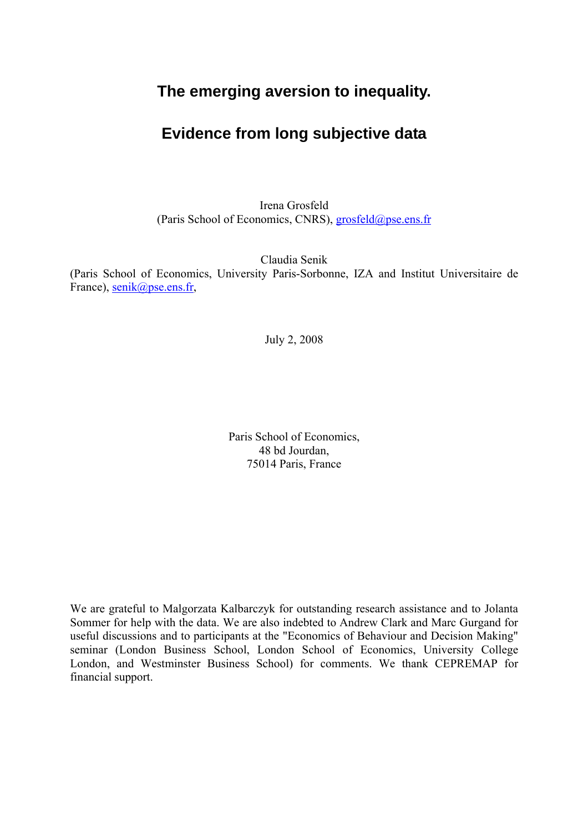# **The emerging aversion to inequality.**

# **Evidence from long subjective data**

Irena Grosfeld (Paris School of Economics, CNRS), grosfeld@pse.ens.fr

Claudia Senik

(Paris School of Economics, University Paris-Sorbonne, IZA and Institut Universitaire de France), senik@pse.ens.fr,

July 2, 2008

Paris School of Economics, 48 bd Jourdan, 75014 Paris, France

We are grateful to Malgorzata Kalbarczyk for outstanding research assistance and to Jolanta Sommer for help with the data. We are also indebted to Andrew Clark and Marc Gurgand for useful discussions and to participants at the "Economics of Behaviour and Decision Making" seminar (London Business School, London School of Economics, University College London, and Westminster Business School) for comments. We thank CEPREMAP for financial support.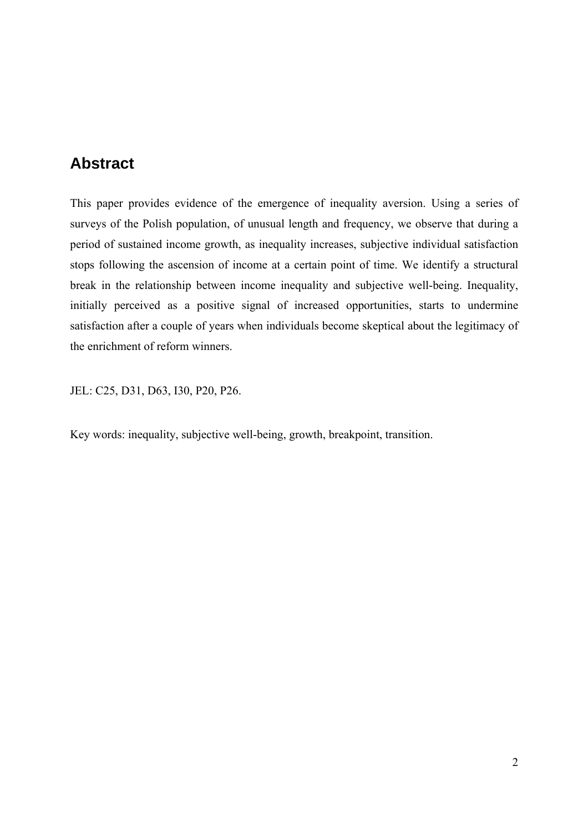# **Abstract**

This paper provides evidence of the emergence of inequality aversion. Using a series of surveys of the Polish population, of unusual length and frequency, we observe that during a period of sustained income growth, as inequality increases, subjective individual satisfaction stops following the ascension of income at a certain point of time. We identify a structural break in the relationship between income inequality and subjective well-being. Inequality, initially perceived as a positive signal of increased opportunities, starts to undermine satisfaction after a couple of years when individuals become skeptical about the legitimacy of the enrichment of reform winners.

JEL: C25, D31, D63, I30, P20, P26.

Key words: inequality, subjective well-being, growth, breakpoint, transition.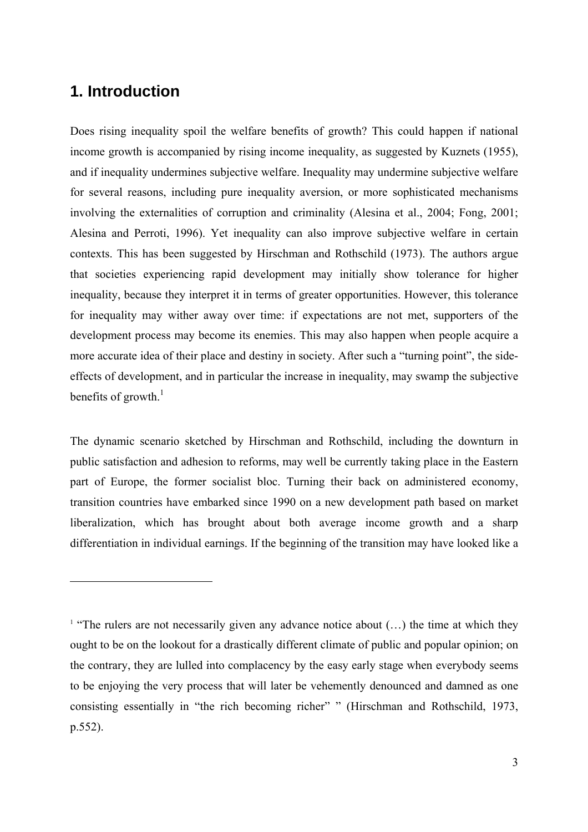# **1. Introduction**

 $\overline{a}$ 

Does rising inequality spoil the welfare benefits of growth? This could happen if national income growth is accompanied by rising income inequality, as suggested by Kuznets (1955), and if inequality undermines subjective welfare. Inequality may undermine subjective welfare for several reasons, including pure inequality aversion, or more sophisticated mechanisms involving the externalities of corruption and criminality (Alesina et al., 2004; Fong, 2001; Alesina and Perroti, 1996). Yet inequality can also improve subjective welfare in certain contexts. This has been suggested by Hirschman and Rothschild (1973). The authors argue that societies experiencing rapid development may initially show tolerance for higher inequality, because they interpret it in terms of greater opportunities. However, this tolerance for inequality may wither away over time: if expectations are not met, supporters of the development process may become its enemies. This may also happen when people acquire a more accurate idea of their place and destiny in society. After such a "turning point", the sideeffects of development, and in particular the increase in inequality, may swamp the subjective benefits of growth. $<sup>1</sup>$ </sup>

The dynamic scenario sketched by Hirschman and Rothschild, including the downturn in public satisfaction and adhesion to reforms, may well be currently taking place in the Eastern part of Europe, the former socialist bloc. Turning their back on administered economy, transition countries have embarked since 1990 on a new development path based on market liberalization, which has brought about both average income growth and a sharp differentiation in individual earnings. If the beginning of the transition may have looked like a

<sup>&</sup>lt;sup>1</sup> "The rulers are not necessarily given any advance notice about  $(...)$  the time at which they ought to be on the lookout for a drastically different climate of public and popular opinion; on the contrary, they are lulled into complacency by the easy early stage when everybody seems to be enjoying the very process that will later be vehemently denounced and damned as one consisting essentially in "the rich becoming richer" " (Hirschman and Rothschild, 1973, p.552).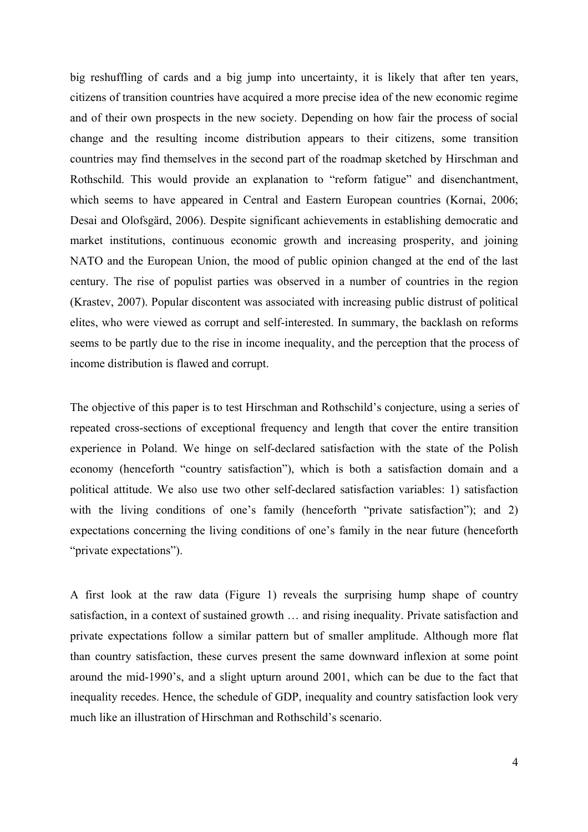big reshuffling of cards and a big jump into uncertainty, it is likely that after ten years, citizens of transition countries have acquired a more precise idea of the new economic regime and of their own prospects in the new society. Depending on how fair the process of social change and the resulting income distribution appears to their citizens, some transition countries may find themselves in the second part of the roadmap sketched by Hirschman and Rothschild. This would provide an explanation to "reform fatigue" and disenchantment, which seems to have appeared in Central and Eastern European countries (Kornai, 2006; Desai and Olofsgärd, 2006). Despite significant achievements in establishing democratic and market institutions, continuous economic growth and increasing prosperity, and joining NATO and the European Union, the mood of public opinion changed at the end of the last century. The rise of populist parties was observed in a number of countries in the region (Krastev, 2007). Popular discontent was associated with increasing public distrust of political elites, who were viewed as corrupt and self-interested. In summary, the backlash on reforms seems to be partly due to the rise in income inequality, and the perception that the process of income distribution is flawed and corrupt.

The objective of this paper is to test Hirschman and Rothschild's conjecture, using a series of repeated cross-sections of exceptional frequency and length that cover the entire transition experience in Poland. We hinge on self-declared satisfaction with the state of the Polish economy (henceforth "country satisfaction"), which is both a satisfaction domain and a political attitude. We also use two other self-declared satisfaction variables: 1) satisfaction with the living conditions of one's family (henceforth "private satisfaction"); and 2) expectations concerning the living conditions of one's family in the near future (henceforth "private expectations").

A first look at the raw data (Figure 1) reveals the surprising hump shape of country satisfaction, in a context of sustained growth … and rising inequality. Private satisfaction and private expectations follow a similar pattern but of smaller amplitude. Although more flat than country satisfaction, these curves present the same downward inflexion at some point around the mid-1990's, and a slight upturn around 2001, which can be due to the fact that inequality recedes. Hence, the schedule of GDP, inequality and country satisfaction look very much like an illustration of Hirschman and Rothschild's scenario.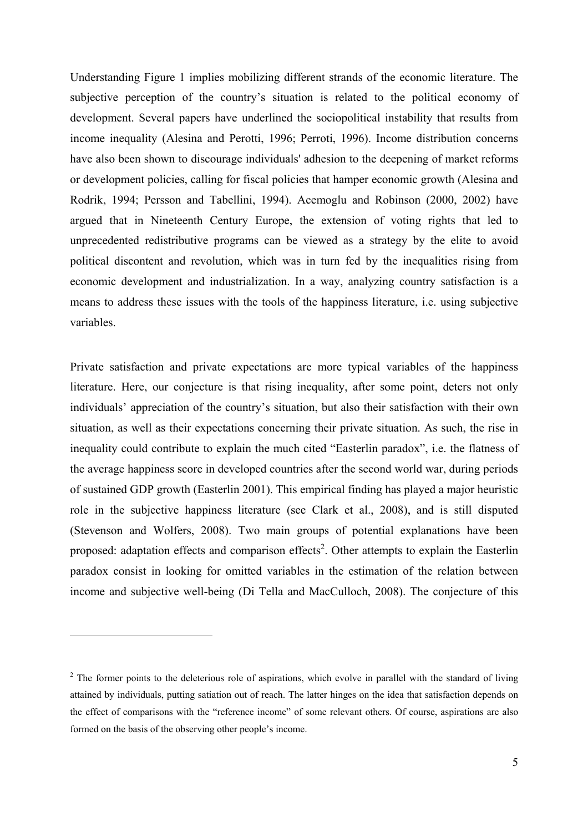Understanding Figure 1 implies mobilizing different strands of the economic literature. The subjective perception of the country's situation is related to the political economy of development. Several papers have underlined the sociopolitical instability that results from income inequality (Alesina and Perotti, 1996; Perroti, 1996). Income distribution concerns have also been shown to discourage individuals' adhesion to the deepening of market reforms or development policies, calling for fiscal policies that hamper economic growth (Alesina and Rodrik, 1994; Persson and Tabellini, 1994). Acemoglu and Robinson (2000, 2002) have argued that in Nineteenth Century Europe, the extension of voting rights that led to unprecedented redistributive programs can be viewed as a strategy by the elite to avoid political discontent and revolution, which was in turn fed by the inequalities rising from economic development and industrialization. In a way, analyzing country satisfaction is a means to address these issues with the tools of the happiness literature, i.e. using subjective variables.

Private satisfaction and private expectations are more typical variables of the happiness literature. Here, our conjecture is that rising inequality, after some point, deters not only individuals' appreciation of the country's situation, but also their satisfaction with their own situation, as well as their expectations concerning their private situation. As such, the rise in inequality could contribute to explain the much cited "Easterlin paradox", i.e. the flatness of the average happiness score in developed countries after the second world war, during periods of sustained GDP growth (Easterlin 2001). This empirical finding has played a major heuristic role in the subjective happiness literature (see Clark et al., 2008), and is still disputed (Stevenson and Wolfers, 2008). Two main groups of potential explanations have been proposed: adaptation effects and comparison effects<sup>2</sup>. Other attempts to explain the Easterlin paradox consist in looking for omitted variables in the estimation of the relation between income and subjective well-being (Di Tella and MacCulloch, 2008). The conjecture of this

 $\overline{a}$ 

 $2^2$  The former points to the deleterious role of aspirations, which evolve in parallel with the standard of living attained by individuals, putting satiation out of reach. The latter hinges on the idea that satisfaction depends on the effect of comparisons with the "reference income" of some relevant others. Of course, aspirations are also formed on the basis of the observing other people's income.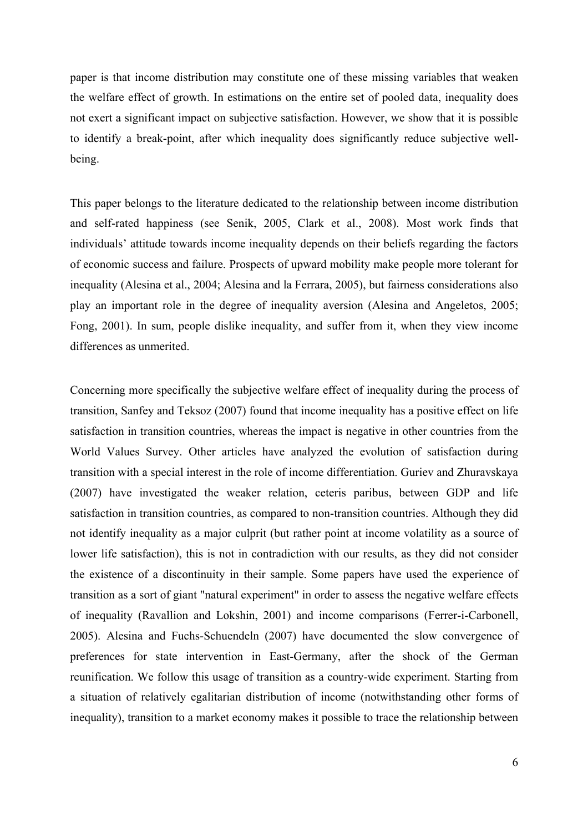paper is that income distribution may constitute one of these missing variables that weaken the welfare effect of growth. In estimations on the entire set of pooled data, inequality does not exert a significant impact on subjective satisfaction. However, we show that it is possible to identify a break-point, after which inequality does significantly reduce subjective wellbeing.

This paper belongs to the literature dedicated to the relationship between income distribution and self-rated happiness (see Senik, 2005, Clark et al., 2008). Most work finds that individuals' attitude towards income inequality depends on their beliefs regarding the factors of economic success and failure. Prospects of upward mobility make people more tolerant for inequality (Alesina et al., 2004; Alesina and la Ferrara, 2005), but fairness considerations also play an important role in the degree of inequality aversion (Alesina and Angeletos, 2005; Fong, 2001). In sum, people dislike inequality, and suffer from it, when they view income differences as unmerited.

Concerning more specifically the subjective welfare effect of inequality during the process of transition, Sanfey and Teksoz (2007) found that income inequality has a positive effect on life satisfaction in transition countries, whereas the impact is negative in other countries from the World Values Survey. Other articles have analyzed the evolution of satisfaction during transition with a special interest in the role of income differentiation. Guriev and Zhuravskaya (2007) have investigated the weaker relation, ceteris paribus, between GDP and life satisfaction in transition countries, as compared to non-transition countries. Although they did not identify inequality as a major culprit (but rather point at income volatility as a source of lower life satisfaction), this is not in contradiction with our results, as they did not consider the existence of a discontinuity in their sample. Some papers have used the experience of transition as a sort of giant "natural experiment" in order to assess the negative welfare effects of inequality (Ravallion and Lokshin, 2001) and income comparisons (Ferrer-i-Carbonell, 2005). Alesina and Fuchs-Schuendeln (2007) have documented the slow convergence of preferences for state intervention in East-Germany, after the shock of the German reunification. We follow this usage of transition as a country-wide experiment. Starting from a situation of relatively egalitarian distribution of income (notwithstanding other forms of inequality), transition to a market economy makes it possible to trace the relationship between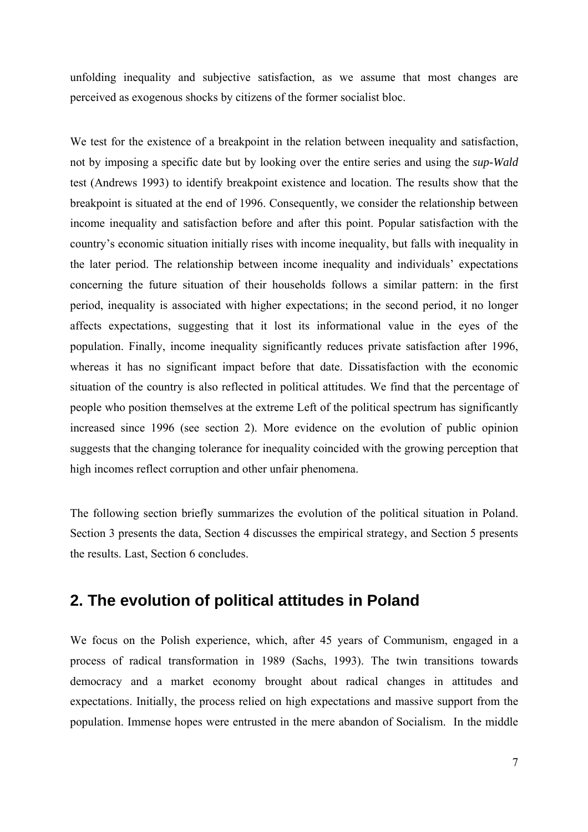unfolding inequality and subjective satisfaction, as we assume that most changes are perceived as exogenous shocks by citizens of the former socialist bloc.

We test for the existence of a breakpoint in the relation between inequality and satisfaction, not by imposing a specific date but by looking over the entire series and using the *sup-Wald* test (Andrews 1993) to identify breakpoint existence and location. The results show that the breakpoint is situated at the end of 1996. Consequently, we consider the relationship between income inequality and satisfaction before and after this point. Popular satisfaction with the country's economic situation initially rises with income inequality, but falls with inequality in the later period. The relationship between income inequality and individuals' expectations concerning the future situation of their households follows a similar pattern: in the first period, inequality is associated with higher expectations; in the second period, it no longer affects expectations, suggesting that it lost its informational value in the eyes of the population. Finally, income inequality significantly reduces private satisfaction after 1996, whereas it has no significant impact before that date. Dissatisfaction with the economic situation of the country is also reflected in political attitudes. We find that the percentage of people who position themselves at the extreme Left of the political spectrum has significantly increased since 1996 (see section 2). More evidence on the evolution of public opinion suggests that the changing tolerance for inequality coincided with the growing perception that high incomes reflect corruption and other unfair phenomena.

The following section briefly summarizes the evolution of the political situation in Poland. Section 3 presents the data, Section 4 discusses the empirical strategy, and Section 5 presents the results. Last, Section 6 concludes.

## **2. The evolution of political attitudes in Poland**

We focus on the Polish experience, which, after 45 years of Communism, engaged in a process of radical transformation in 1989 (Sachs, 1993). The twin transitions towards democracy and a market economy brought about radical changes in attitudes and expectations. Initially, the process relied on high expectations and massive support from the population. Immense hopes were entrusted in the mere abandon of Socialism. In the middle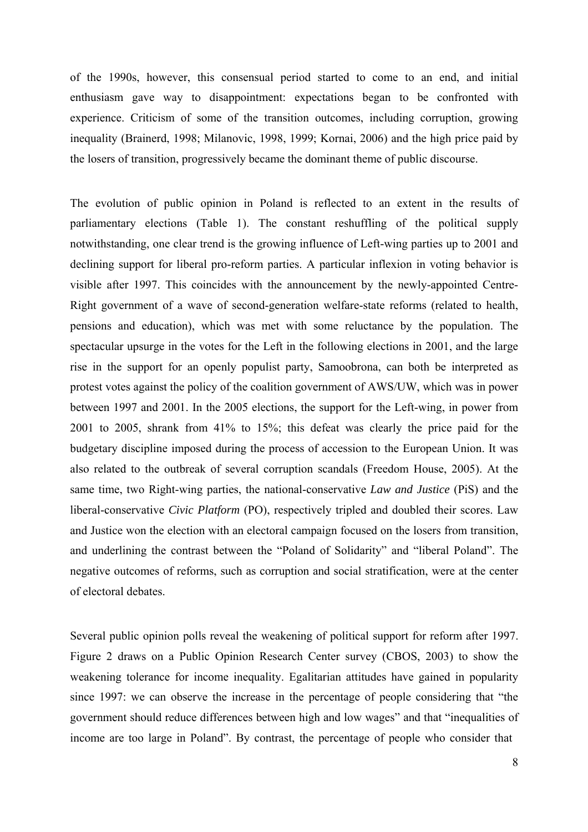of the 1990s, however, this consensual period started to come to an end, and initial enthusiasm gave way to disappointment: expectations began to be confronted with experience. Criticism of some of the transition outcomes, including corruption, growing inequality (Brainerd, 1998; Milanovic, 1998, 1999; Kornai, 2006) and the high price paid by the losers of transition, progressively became the dominant theme of public discourse.

The evolution of public opinion in Poland is reflected to an extent in the results of parliamentary elections (Table 1). The constant reshuffling of the political supply notwithstanding, one clear trend is the growing influence of Left-wing parties up to 2001 and declining support for liberal pro-reform parties. A particular inflexion in voting behavior is visible after 1997. This coincides with the announcement by the newly-appointed Centre-Right government of a wave of second-generation welfare-state reforms (related to health, pensions and education), which was met with some reluctance by the population. The spectacular upsurge in the votes for the Left in the following elections in 2001, and the large rise in the support for an openly populist party, Samoobrona, can both be interpreted as protest votes against the policy of the coalition government of AWS/UW, which was in power between 1997 and 2001. In the 2005 elections, the support for the Left-wing, in power from 2001 to 2005, shrank from 41% to 15%; this defeat was clearly the price paid for the budgetary discipline imposed during the process of accession to the European Union. It was also related to the outbreak of several corruption scandals (Freedom House, 2005). At the same time, two Right-wing parties, the national-conservative *Law and Justice* (PiS) and the liberal-conservative *Civic Platform* (PO), respectively tripled and doubled their scores. Law and Justice won the election with an electoral campaign focused on the losers from transition, and underlining the contrast between the "Poland of Solidarity" and "liberal Poland". The negative outcomes of reforms, such as corruption and social stratification, were at the center of electoral debates.

Several public opinion polls reveal the weakening of political support for reform after 1997. Figure 2 draws on a Public Opinion Research Center survey (CBOS, 2003) to show the weakening tolerance for income inequality. Egalitarian attitudes have gained in popularity since 1997: we can observe the increase in the percentage of people considering that "the government should reduce differences between high and low wages" and that "inequalities of income are too large in Poland". By contrast, the percentage of people who consider that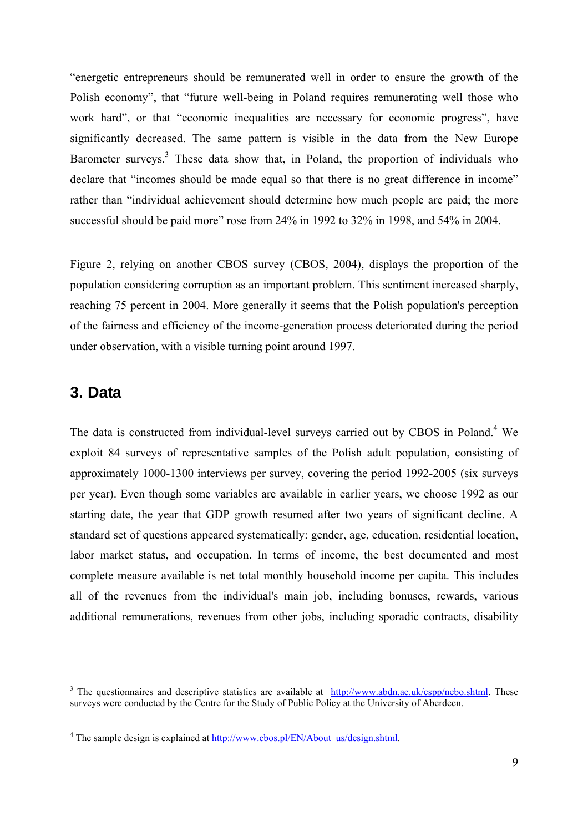"energetic entrepreneurs should be remunerated well in order to ensure the growth of the Polish economy", that "future well-being in Poland requires remunerating well those who work hard", or that "economic inequalities are necessary for economic progress", have significantly decreased. The same pattern is visible in the data from the New Europe Barometer surveys.<sup>3</sup> These data show that, in Poland, the proportion of individuals who declare that "incomes should be made equal so that there is no great difference in income" rather than "individual achievement should determine how much people are paid; the more successful should be paid more" rose from 24% in 1992 to 32% in 1998, and 54% in 2004.

Figure 2, relying on another CBOS survey (CBOS, 2004), displays the proportion of the population considering corruption as an important problem. This sentiment increased sharply, reaching 75 percent in 2004. More generally it seems that the Polish population's perception of the fairness and efficiency of the income-generation process deteriorated during the period under observation, with a visible turning point around 1997.

#### **3. Data**

 $\overline{a}$ 

The data is constructed from individual-level surveys carried out by CBOS in Poland.<sup>4</sup> We exploit 84 surveys of representative samples of the Polish adult population, consisting of approximately 1000-1300 interviews per survey, covering the period 1992-2005 (six surveys per year). Even though some variables are available in earlier years, we choose 1992 as our starting date, the year that GDP growth resumed after two years of significant decline. A standard set of questions appeared systematically: gender, age, education, residential location, labor market status, and occupation. In terms of income, the best documented and most complete measure available is net total monthly household income per capita. This includes all of the revenues from the individual's main job, including bonuses, rewards, various additional remunerations, revenues from other jobs, including sporadic contracts, disability

<sup>&</sup>lt;sup>3</sup> The questionnaires and descriptive statistics are available at  $\frac{http://www.abdn.ac.uk/cspp/nebo.shtml}{http://www.abdn.ac.uk/cspp/nebo.shtml}$ . These surveys were conducted by the Centre for the Study of Public Policy at the University of Aberdeen.

<sup>&</sup>lt;sup>4</sup> The sample design is explained at  $\frac{http://www.cbos.pl/EN/About us/design.shtml.}$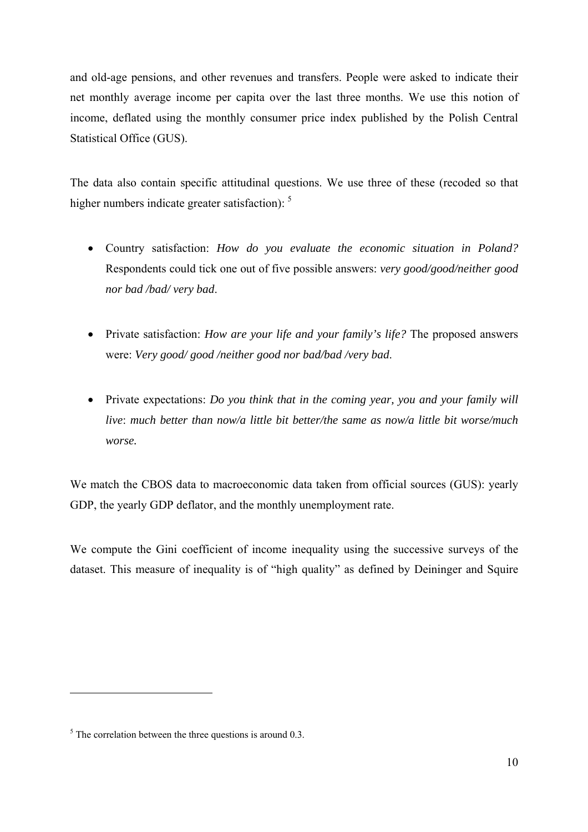and old-age pensions, and other revenues and transfers. People were asked to indicate their net monthly average income per capita over the last three months. We use this notion of income, deflated using the monthly consumer price index published by the Polish Central Statistical Office (GUS).

The data also contain specific attitudinal questions. We use three of these (recoded so that higher numbers indicate greater satisfaction):  $5$ 

- Country satisfaction: *How do you evaluate the economic situation in Poland?* Respondents could tick one out of five possible answers: *very good/good/neither good nor bad /bad/ very bad*.
- Private satisfaction: *How are your life and your family's life?* The proposed answers were: *Very good/ good /neither good nor bad/bad /very bad*.
- Private expectations: *Do you think that in the coming year, you and your family will live*: *much better than now/a little bit better/the same as now/a little bit worse/much worse.*

We match the CBOS data to macroeconomic data taken from official sources (GUS): yearly GDP, the yearly GDP deflator, and the monthly unemployment rate.

We compute the Gini coefficient of income inequality using the successive surveys of the dataset. This measure of inequality is of "high quality" as defined by Deininger and Squire

 $\overline{a}$ 

 $<sup>5</sup>$  The correlation between the three questions is around 0.3.</sup>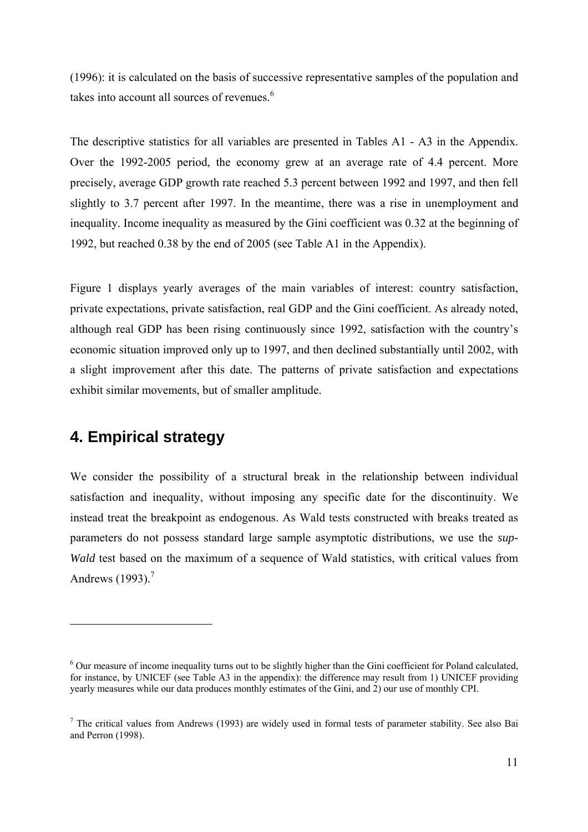(1996): it is calculated on the basis of successive representative samples of the population and takes into account all sources of revenues.<sup>6</sup>

The descriptive statistics for all variables are presented in Tables A1 - A3 in the Appendix. Over the 1992-2005 period, the economy grew at an average rate of 4.4 percent. More precisely, average GDP growth rate reached 5.3 percent between 1992 and 1997, and then fell slightly to 3.7 percent after 1997. In the meantime, there was a rise in unemployment and inequality. Income inequality as measured by the Gini coefficient was 0.32 at the beginning of 1992, but reached 0.38 by the end of 2005 (see Table A1 in the Appendix).

Figure 1 displays yearly averages of the main variables of interest: country satisfaction, private expectations, private satisfaction, real GDP and the Gini coefficient. As already noted, although real GDP has been rising continuously since 1992, satisfaction with the country's economic situation improved only up to 1997, and then declined substantially until 2002, with a slight improvement after this date. The patterns of private satisfaction and expectations exhibit similar movements, but of smaller amplitude.

# **4. Empirical strategy**

 $\overline{a}$ 

We consider the possibility of a structural break in the relationship between individual satisfaction and inequality, without imposing any specific date for the discontinuity. We instead treat the breakpoint as endogenous. As Wald tests constructed with breaks treated as parameters do not possess standard large sample asymptotic distributions, we use the *sup-Wald* test based on the maximum of a sequence of Wald statistics, with critical values from Andrews (1993).<sup>7</sup>

<sup>&</sup>lt;sup>6</sup> Our measure of income inequality turns out to be slightly higher than the Gini coefficient for Poland calculated, for instance, by UNICEF (see Table A3 in the appendix): the difference may result from 1) UNICEF providing yearly measures while our data produces monthly estimates of the Gini, and 2) our use of monthly CPI.

<sup>&</sup>lt;sup>7</sup> The critical values from Andrews (1993) are widely used in formal tests of parameter stability. See also Bai and Perron (1998).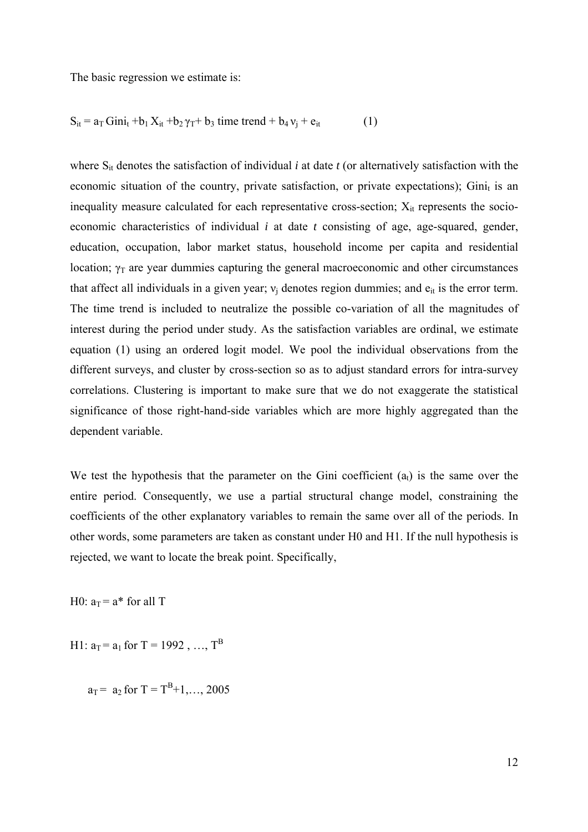The basic regression we estimate is:

$$
S_{it} = a_T Gini_t + b_1 X_{it} + b_2 \gamma_T + b_3 \text{ time trend} + b_4 v_j + e_{it}
$$
 (1)

where  $S_{it}$  denotes the satisfaction of individual *i* at date *t* (or alternatively satisfaction with the economic situation of the country, private satisfaction, or private expectations); Ginit is an inequality measure calculated for each representative cross-section;  $X_{it}$  represents the socioeconomic characteristics of individual *i* at date *t* consisting of age, age-squared, gender, education, occupation, labor market status, household income per capita and residential location;  $\gamma_T$  are year dummies capturing the general macroeconomic and other circumstances that affect all individuals in a given year;  $v_i$  denotes region dummies; and  $e_{it}$  is the error term. The time trend is included to neutralize the possible co-variation of all the magnitudes of interest during the period under study. As the satisfaction variables are ordinal, we estimate equation (1) using an ordered logit model. We pool the individual observations from the different surveys, and cluster by cross-section so as to adjust standard errors for intra-survey correlations. Clustering is important to make sure that we do not exaggerate the statistical significance of those right-hand-side variables which are more highly aggregated than the dependent variable.

We test the hypothesis that the parameter on the Gini coefficient  $(a<sub>t</sub>)$  is the same over the entire period. Consequently, we use a partial structural change model, constraining the coefficients of the other explanatory variables to remain the same over all of the periods. In other words, some parameters are taken as constant under H0 and H1. If the null hypothesis is rejected, we want to locate the break point. Specifically,

H0:  $a_T = a^*$  for all T

H1:  $a_T = a_1$  for T = 1992, ..., T<sup>B</sup>

 $a_T = a_2$  for  $T = T^B + 1, ..., 2005$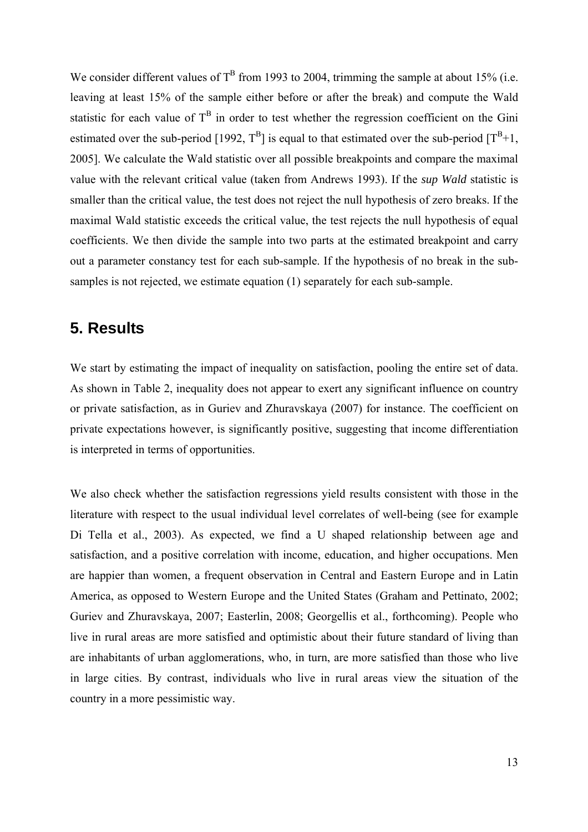We consider different values of  $T^B$  from 1993 to 2004, trimming the sample at about 15% (i.e. leaving at least 15% of the sample either before or after the break) and compute the Wald statistic for each value of  $T^B$  in order to test whether the regression coefficient on the Gini estimated over the sub-period [1992,  $T^B$ ] is equal to that estimated over the sub-period  $[T^B+1]$ , 2005]. We calculate the Wald statistic over all possible breakpoints and compare the maximal value with the relevant critical value (taken from Andrews 1993). If the *sup Wald* statistic is smaller than the critical value, the test does not reject the null hypothesis of zero breaks. If the maximal Wald statistic exceeds the critical value, the test rejects the null hypothesis of equal coefficients. We then divide the sample into two parts at the estimated breakpoint and carry out a parameter constancy test for each sub-sample. If the hypothesis of no break in the subsamples is not rejected, we estimate equation (1) separately for each sub-sample.

## **5. Results**

We start by estimating the impact of inequality on satisfaction, pooling the entire set of data. As shown in Table 2, inequality does not appear to exert any significant influence on country or private satisfaction, as in Guriev and Zhuravskaya (2007) for instance. The coefficient on private expectations however, is significantly positive, suggesting that income differentiation is interpreted in terms of opportunities.

We also check whether the satisfaction regressions yield results consistent with those in the literature with respect to the usual individual level correlates of well-being (see for example Di Tella et al., 2003). As expected, we find a U shaped relationship between age and satisfaction, and a positive correlation with income, education, and higher occupations. Men are happier than women, a frequent observation in Central and Eastern Europe and in Latin America, as opposed to Western Europe and the United States (Graham and Pettinato, 2002; Guriev and Zhuravskaya, 2007; Easterlin, 2008; Georgellis et al., forthcoming). People who live in rural areas are more satisfied and optimistic about their future standard of living than are inhabitants of urban agglomerations, who, in turn, are more satisfied than those who live in large cities. By contrast, individuals who live in rural areas view the situation of the country in a more pessimistic way.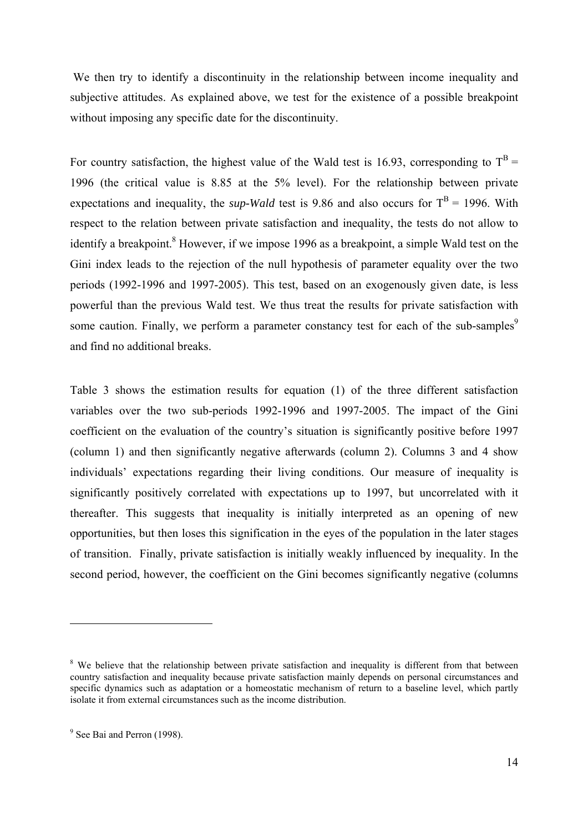We then try to identify a discontinuity in the relationship between income inequality and subjective attitudes. As explained above, we test for the existence of a possible breakpoint without imposing any specific date for the discontinuity.

For country satisfaction, the highest value of the Wald test is 16.93, corresponding to  $T^B$  = 1996 (the critical value is 8.85 at the 5% level). For the relationship between private expectations and inequality, the *sup-Wald* test is 9.86 and also occurs for  $T^B = 1996$ . With respect to the relation between private satisfaction and inequality, the tests do not allow to identify a breakpoint.<sup>8</sup> However, if we impose 1996 as a breakpoint, a simple Wald test on the Gini index leads to the rejection of the null hypothesis of parameter equality over the two periods (1992-1996 and 1997-2005). This test, based on an exogenously given date, is less powerful than the previous Wald test. We thus treat the results for private satisfaction with some caution. Finally, we perform a parameter constancy test for each of the sub-samples<sup>9</sup> and find no additional breaks.

Table 3 shows the estimation results for equation (1) of the three different satisfaction variables over the two sub-periods 1992-1996 and 1997-2005. The impact of the Gini coefficient on the evaluation of the country's situation is significantly positive before 1997 (column 1) and then significantly negative afterwards (column 2). Columns 3 and 4 show individuals' expectations regarding their living conditions. Our measure of inequality is significantly positively correlated with expectations up to 1997, but uncorrelated with it thereafter. This suggests that inequality is initially interpreted as an opening of new opportunities, but then loses this signification in the eyes of the population in the later stages of transition. Finally, private satisfaction is initially weakly influenced by inequality. In the second period, however, the coefficient on the Gini becomes significantly negative (columns

 $\overline{a}$ 

<sup>&</sup>lt;sup>8</sup> We believe that the relationship between private satisfaction and inequality is different from that between country satisfaction and inequality because private satisfaction mainly depends on personal circumstances and specific dynamics such as adaptation or a homeostatic mechanism of return to a baseline level, which partly isolate it from external circumstances such as the income distribution.

<sup>&</sup>lt;sup>9</sup> See Bai and Perron (1998).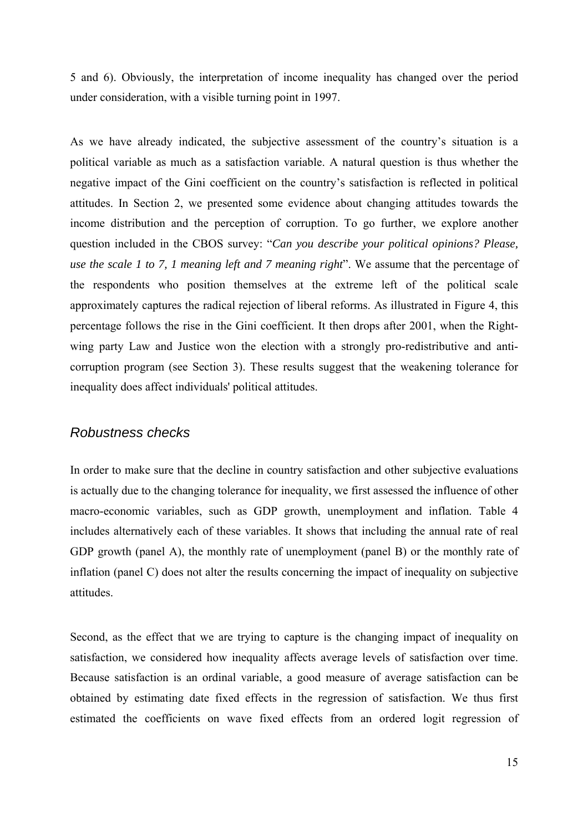5 and 6). Obviously, the interpretation of income inequality has changed over the period under consideration, with a visible turning point in 1997.

As we have already indicated, the subjective assessment of the country's situation is a political variable as much as a satisfaction variable. A natural question is thus whether the negative impact of the Gini coefficient on the country's satisfaction is reflected in political attitudes. In Section 2, we presented some evidence about changing attitudes towards the income distribution and the perception of corruption. To go further, we explore another question included in the CBOS survey: "*Can you describe your political opinions? Please, use the scale 1 to 7, 1 meaning left and 7 meaning right*". We assume that the percentage of the respondents who position themselves at the extreme left of the political scale approximately captures the radical rejection of liberal reforms. As illustrated in Figure 4, this percentage follows the rise in the Gini coefficient. It then drops after 2001, when the Rightwing party Law and Justice won the election with a strongly pro-redistributive and anticorruption program (see Section 3). These results suggest that the weakening tolerance for inequality does affect individuals' political attitudes.

#### *Robustness checks*

In order to make sure that the decline in country satisfaction and other subjective evaluations is actually due to the changing tolerance for inequality, we first assessed the influence of other macro-economic variables, such as GDP growth, unemployment and inflation. Table 4 includes alternatively each of these variables. It shows that including the annual rate of real GDP growth (panel A), the monthly rate of unemployment (panel B) or the monthly rate of inflation (panel C) does not alter the results concerning the impact of inequality on subjective attitudes.

Second, as the effect that we are trying to capture is the changing impact of inequality on satisfaction, we considered how inequality affects average levels of satisfaction over time. Because satisfaction is an ordinal variable, a good measure of average satisfaction can be obtained by estimating date fixed effects in the regression of satisfaction. We thus first estimated the coefficients on wave fixed effects from an ordered logit regression of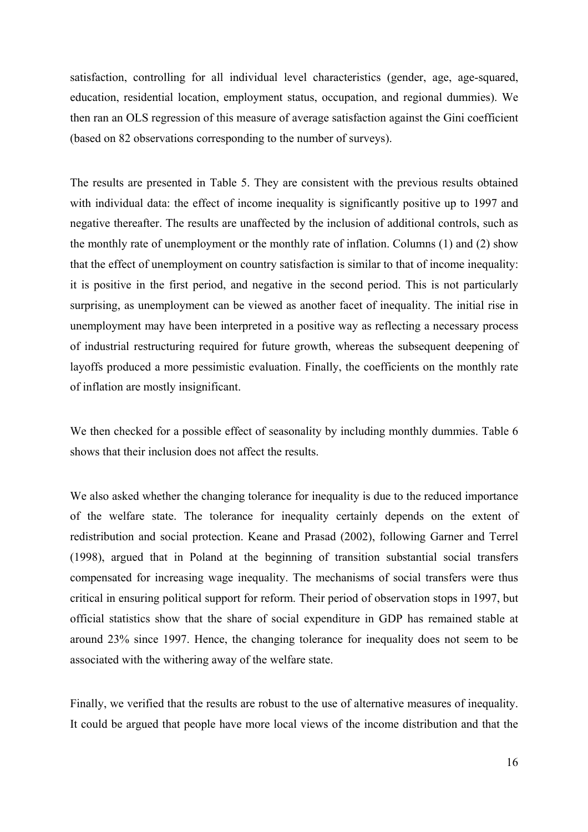satisfaction, controlling for all individual level characteristics (gender, age, age-squared, education, residential location, employment status, occupation, and regional dummies). We then ran an OLS regression of this measure of average satisfaction against the Gini coefficient (based on 82 observations corresponding to the number of surveys).

The results are presented in Table 5. They are consistent with the previous results obtained with individual data: the effect of income inequality is significantly positive up to 1997 and negative thereafter. The results are unaffected by the inclusion of additional controls, such as the monthly rate of unemployment or the monthly rate of inflation. Columns (1) and (2) show that the effect of unemployment on country satisfaction is similar to that of income inequality: it is positive in the first period, and negative in the second period. This is not particularly surprising, as unemployment can be viewed as another facet of inequality. The initial rise in unemployment may have been interpreted in a positive way as reflecting a necessary process of industrial restructuring required for future growth, whereas the subsequent deepening of layoffs produced a more pessimistic evaluation. Finally, the coefficients on the monthly rate of inflation are mostly insignificant.

We then checked for a possible effect of seasonality by including monthly dummies. Table 6 shows that their inclusion does not affect the results.

We also asked whether the changing tolerance for inequality is due to the reduced importance of the welfare state. The tolerance for inequality certainly depends on the extent of redistribution and social protection. Keane and Prasad (2002), following Garner and Terrel (1998), argued that in Poland at the beginning of transition substantial social transfers compensated for increasing wage inequality. The mechanisms of social transfers were thus critical in ensuring political support for reform. Their period of observation stops in 1997, but official statistics show that the share of social expenditure in GDP has remained stable at around 23% since 1997. Hence, the changing tolerance for inequality does not seem to be associated with the withering away of the welfare state.

Finally, we verified that the results are robust to the use of alternative measures of inequality. It could be argued that people have more local views of the income distribution and that the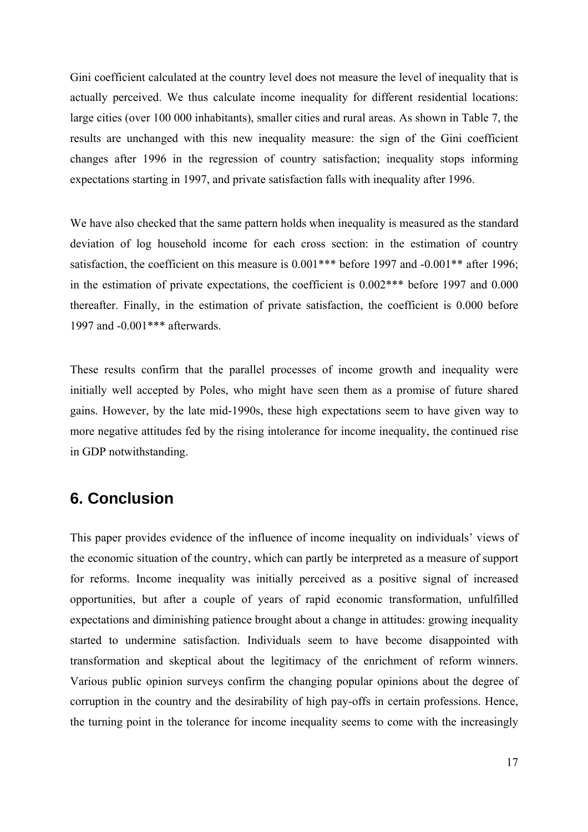Gini coefficient calculated at the country level does not measure the level of inequality that is actually perceived. We thus calculate income inequality for different residential locations: large cities (over 100 000 inhabitants), smaller cities and rural areas. As shown in Table 7, the results are unchanged with this new inequality measure: the sign of the Gini coefficient changes after 1996 in the regression of country satisfaction; inequality stops informing expectations starting in 1997, and private satisfaction falls with inequality after 1996.

We have also checked that the same pattern holds when inequality is measured as the standard deviation of log household income for each cross section: in the estimation of country satisfaction, the coefficient on this measure is  $0.001***$  before 1997 and  $-0.001**$  after 1996; in the estimation of private expectations, the coefficient is 0.002\*\*\* before 1997 and 0.000 thereafter. Finally, in the estimation of private satisfaction, the coefficient is 0.000 before 1997 and -0.001\*\*\* afterwards.

These results confirm that the parallel processes of income growth and inequality were initially well accepted by Poles, who might have seen them as a promise of future shared gains. However, by the late mid-1990s, these high expectations seem to have given way to more negative attitudes fed by the rising intolerance for income inequality, the continued rise in GDP notwithstanding.

# **6. Conclusion**

This paper provides evidence of the influence of income inequality on individuals' views of the economic situation of the country, which can partly be interpreted as a measure of support for reforms. Income inequality was initially perceived as a positive signal of increased opportunities, but after a couple of years of rapid economic transformation, unfulfilled expectations and diminishing patience brought about a change in attitudes: growing inequality started to undermine satisfaction. Individuals seem to have become disappointed with transformation and skeptical about the legitimacy of the enrichment of reform winners. Various public opinion surveys confirm the changing popular opinions about the degree of corruption in the country and the desirability of high pay-offs in certain professions. Hence, the turning point in the tolerance for income inequality seems to come with the increasingly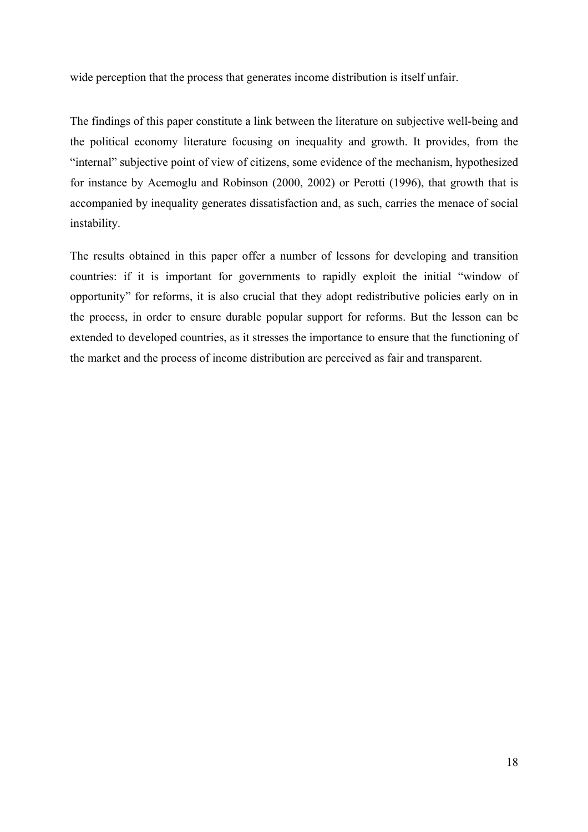wide perception that the process that generates income distribution is itself unfair.

The findings of this paper constitute a link between the literature on subjective well-being and the political economy literature focusing on inequality and growth. It provides, from the "internal" subjective point of view of citizens, some evidence of the mechanism, hypothesized for instance by Acemoglu and Robinson (2000, 2002) or Perotti (1996), that growth that is accompanied by inequality generates dissatisfaction and, as such, carries the menace of social instability.

The results obtained in this paper offer a number of lessons for developing and transition countries: if it is important for governments to rapidly exploit the initial "window of opportunity" for reforms, it is also crucial that they adopt redistributive policies early on in the process, in order to ensure durable popular support for reforms. But the lesson can be extended to developed countries, as it stresses the importance to ensure that the functioning of the market and the process of income distribution are perceived as fair and transparent.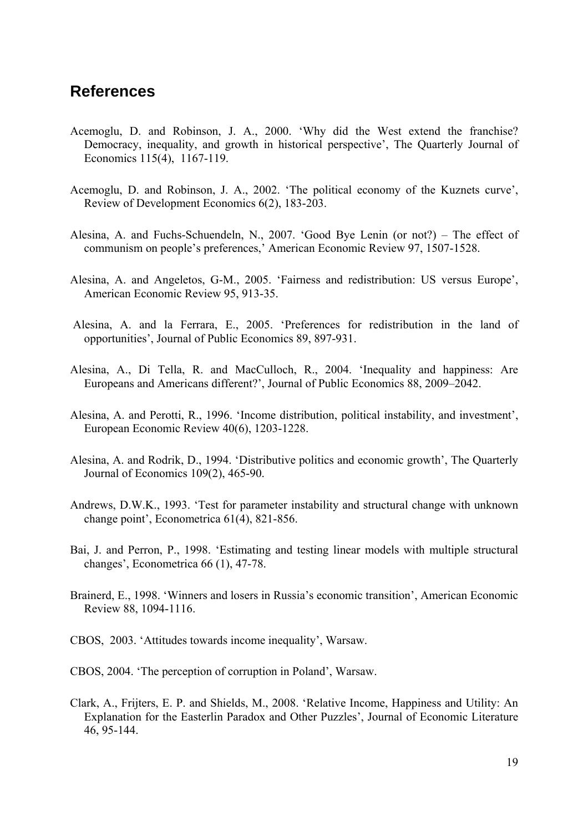# **References**

- Acemoglu, D. and Robinson, J. A., 2000. 'Why did the West extend the franchise? Democracy, inequality, and growth in historical perspective', The Quarterly Journal of Economics 115(4), 1167-119.
- Acemoglu, D. and Robinson, J. A., 2002. 'The political economy of the Kuznets curve', Review of Development Economics 6(2), 183-203.
- Alesina, A. and Fuchs-Schuendeln, N., 2007. 'Good Bye Lenin (or not?) The effect of communism on people's preferences,' American Economic Review 97, 1507-1528.
- Alesina, A. and Angeletos, G-M., 2005. 'Fairness and redistribution: US versus Europe', American Economic Review 95, 913-35.
- Alesina, A. and la Ferrara, E., 2005. 'Preferences for redistribution in the land of opportunities', Journal of Public Economics 89, 897-931.
- Alesina, A., Di Tella, R. and MacCulloch, R., 2004. 'Inequality and happiness: Are Europeans and Americans different?', Journal of Public Economics 88, 2009–2042.
- Alesina, A. and Perotti, R., 1996. 'Income distribution, political instability, and investment', European Economic Review 40(6), 1203-1228.
- Alesina, A. and Rodrik, D., 1994. 'Distributive politics and economic growth', The Quarterly Journal of Economics 109(2), 465-90.
- Andrews, D.W.K., 1993. 'Test for parameter instability and structural change with unknown change point', Econometrica 61(4), 821-856.
- Bai, J. and Perron, P., 1998. 'Estimating and testing linear models with multiple structural changes', Econometrica 66 (1), 47-78.
- Brainerd, E., 1998. 'Winners and losers in Russia's economic transition', American Economic Review 88, 1094-1116.
- CBOS, 2003. 'Attitudes towards income inequality', Warsaw.
- CBOS, 2004. 'The perception of corruption in Poland', Warsaw.
- Clark, A., Frijters, E. P. and Shields, M., 2008. 'Relative Income, Happiness and Utility: An Explanation for the Easterlin Paradox and Other Puzzles', Journal of Economic Literature 46, 95-144.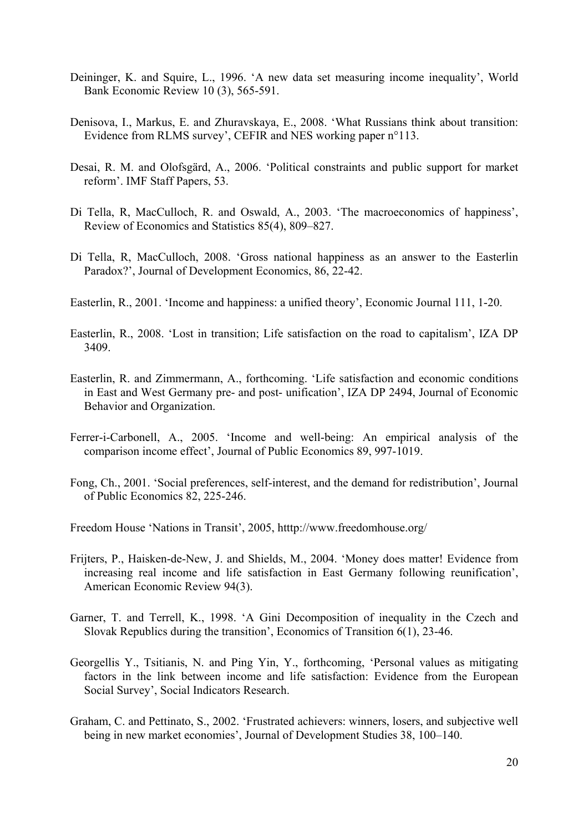- Deininger, K. and Squire, L., 1996. 'A new data set measuring income inequality', World Bank Economic Review 10 (3), 565-591.
- Denisova, I., Markus, E. and Zhuravskaya, E., 2008. 'What Russians think about transition: Evidence from RLMS survey', CEFIR and NES working paper n°113.
- Desai, R. M. and Olofsgärd, A., 2006. 'Political constraints and public support for market reform'. IMF Staff Papers, 53.
- Di Tella, R, MacCulloch, R. and Oswald, A., 2003. 'The macroeconomics of happiness', Review of Economics and Statistics 85(4), 809–827.
- Di Tella, R, MacCulloch, 2008. 'Gross national happiness as an answer to the Easterlin Paradox?', Journal of Development Economics, 86, 22-42.
- Easterlin, R., 2001. 'Income and happiness: a unified theory', Economic Journal 111, 1-20.
- Easterlin, R., 2008. 'Lost in transition; Life satisfaction on the road to capitalism', IZA DP 3409.
- Easterlin, R. and Zimmermann, A., forthcoming. 'Life satisfaction and economic conditions in East and West Germany pre- and post- unification', IZA DP 2494, Journal of Economic Behavior and Organization.
- Ferrer-i-Carbonell, A., 2005. 'Income and well-being: An empirical analysis of the comparison income effect', Journal of Public Economics 89, 997-1019.
- Fong, Ch., 2001. 'Social preferences, self-interest, and the demand for redistribution', Journal of Public Economics 82, 225-246.
- Freedom House 'Nations in Transit', 2005, htttp://www.freedomhouse.org/
- Frijters, P., Haisken-de-New, J. and Shields, M., 2004. 'Money does matter! Evidence from increasing real income and life satisfaction in East Germany following reunification', American Economic Review 94(3).
- Garner, T. and Terrell, K., 1998. 'A Gini Decomposition of inequality in the Czech and Slovak Republics during the transition', Economics of Transition 6(1), 23-46.
- Georgellis Y., Tsitianis, N. and Ping Yin, Y., forthcoming, 'Personal values as mitigating factors in the link between income and life satisfaction: Evidence from the European Social Survey', Social Indicators Research.
- Graham, C. and Pettinato, S., 2002. 'Frustrated achievers: winners, losers, and subjective well being in new market economies', Journal of Development Studies 38, 100–140.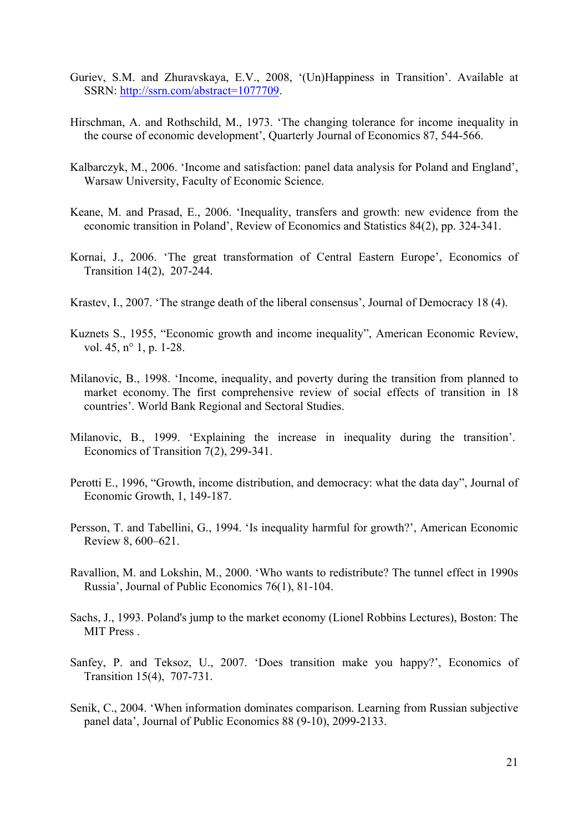- Guriev, S.M. and Zhuravskaya, E.V., 2008, '(Un)Happiness in Transition'. Available at SSRN: http://ssrn.com/abstract=1077709.
- Hirschman, A. and Rothschild, M., 1973. 'The changing tolerance for income inequality in the course of economic development', Quarterly Journal of Economics 87, 544-566.
- Kalbarczyk, M., 2006. 'Income and satisfaction: panel data analysis for Poland and England', Warsaw University, Faculty of Economic Science.
- Keane, M. and Prasad, E., 2006. 'Inequality, transfers and growth: new evidence from the economic transition in Poland', Review of Economics and Statistics 84(2), pp. 324-341.
- Kornai, J., 2006. 'The great transformation of Central Eastern Europe', Economics of Transition 14(2), 207-244.
- Krastev, I., 2007. 'The strange death of the liberal consensus', Journal of Democracy 18 (4).
- Kuznets S., 1955, "Economic growth and income inequality", American Economic Review, vol. 45, n<sup>o</sup> 1, p. 1-28.
- Milanovic, B., 1998. 'Income, inequality, and poverty during the transition from planned to market economy. The first comprehensive review of social effects of transition in 18 countries'. World Bank Regional and Sectoral Studies.
- Milanovic, B., 1999. 'Explaining the increase in inequality during the transition'. Economics of Transition 7(2), 299-341.
- Perotti E., 1996, "Growth, income distribution, and democracy: what the data day", Journal of Economic Growth, 1, 149-187.
- Persson, T. and Tabellini, G., 1994. 'Is inequality harmful for growth?', American Economic Review 8, 600–621.
- Ravallion, M. and Lokshin, M., 2000. 'Who wants to redistribute? The tunnel effect in 1990s Russia', Journal of Public Economics 76(1), 81-104.
- Sachs, J., 1993. Poland's jump to the market economy (Lionel Robbins Lectures), Boston: The MIT Press .
- Sanfey, P. and Teksoz, U., 2007. 'Does transition make you happy?', Economics of Transition 15(4), 707-731.
- Senik, C., 2004. 'When information dominates comparison. Learning from Russian subjective panel data', Journal of Public Economics 88 (9-10), 2099-2133.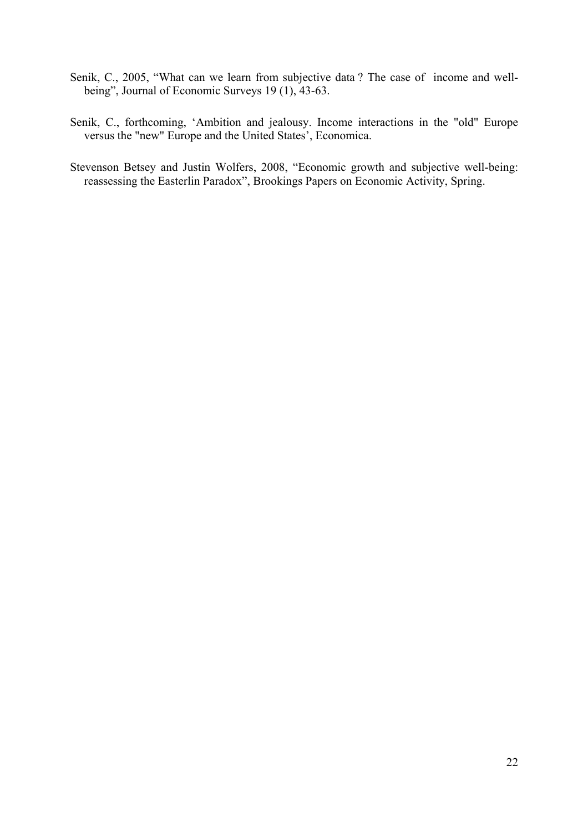- Senik, C., 2005, "What can we learn from subjective data ? The case of income and wellbeing", Journal of Economic Surveys 19 (1), 43-63.
- Senik, C., forthcoming, 'Ambition and jealousy. Income interactions in the "old" Europe versus the "new" Europe and the United States', Economica.
- Stevenson Betsey and Justin Wolfers, 2008, "Economic growth and subjective well-being: reassessing the Easterlin Paradox", Brookings Papers on Economic Activity, Spring.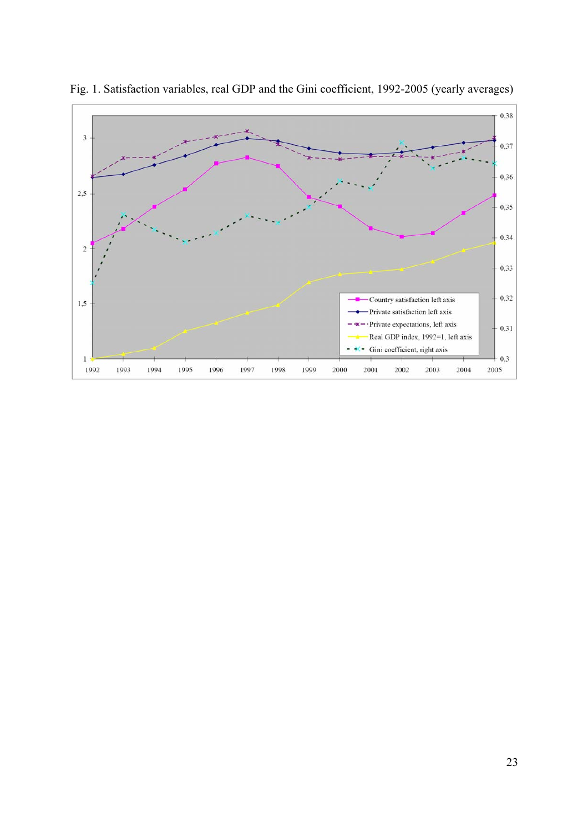

Fig. 1. Satisfaction variables, real GDP and the Gini coefficient, 1992-2005 (yearly averages)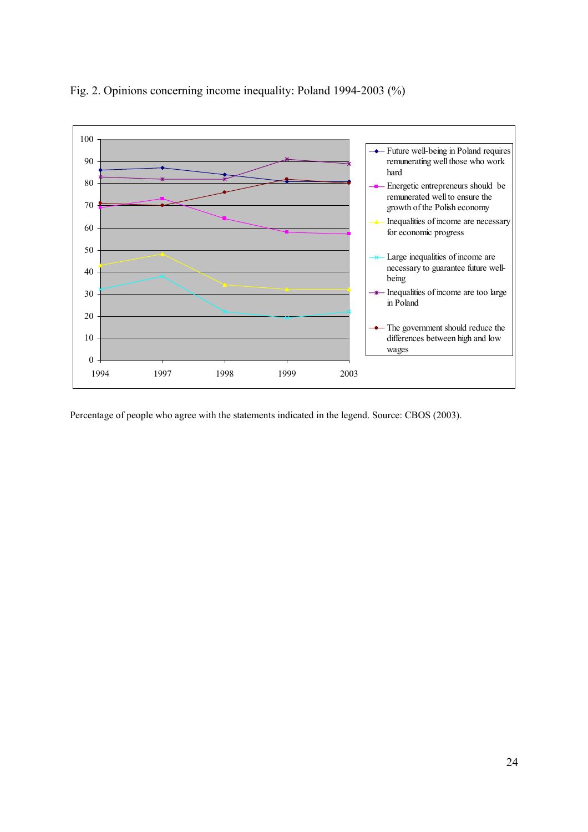

Fig. 2. Opinions concerning income inequality: Poland 1994-2003 (%)

Percentage of people who agree with the statements indicated in the legend. Source: CBOS (2003).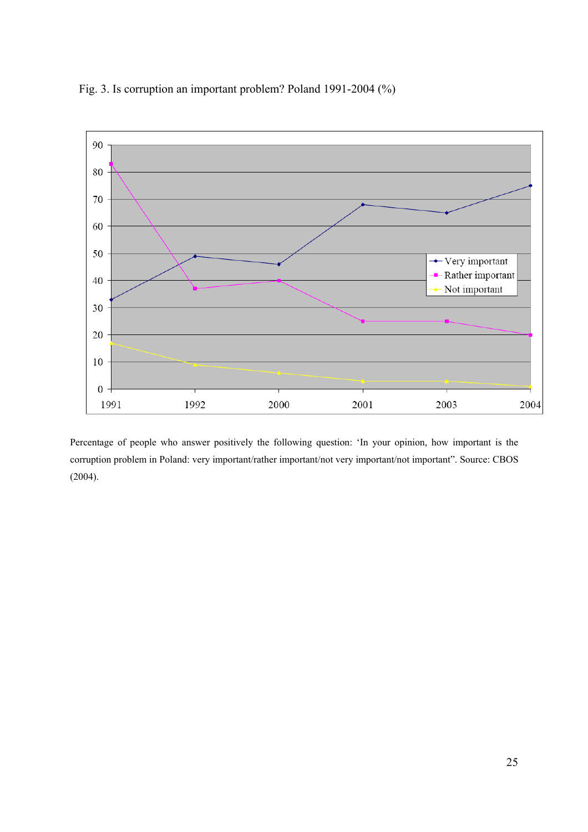



Percentage of people who answer positively the following question: 'In your opinion, how important is the corruption problem in Poland: very important/rather important/not very important/not important". Source: CBOS (2004).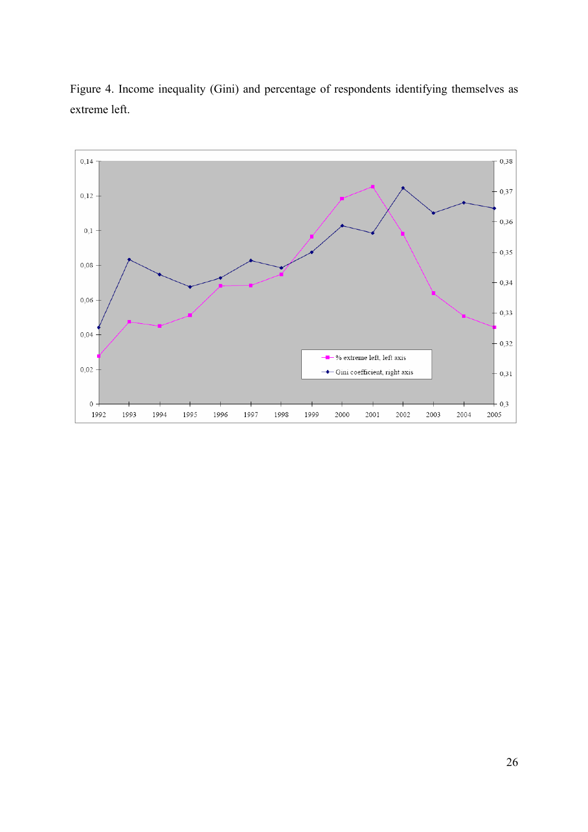![](_page_25_Figure_0.jpeg)

Figure 4. Income inequality (Gini) and percentage of respondents identifying themselves as extreme left.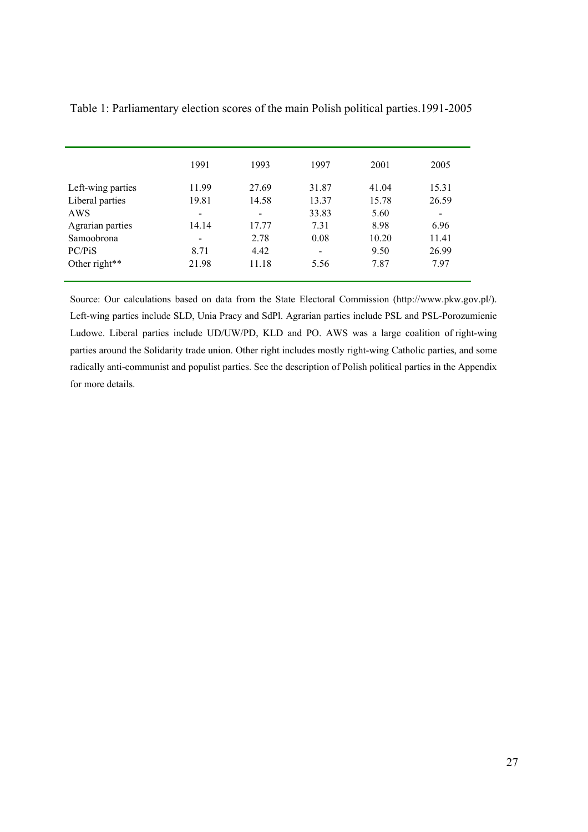|                   | 1991                     | 1993                         | 1997                     | 2001  | 2005  |
|-------------------|--------------------------|------------------------------|--------------------------|-------|-------|
| Left-wing parties | 11.99                    | 27.69                        | 31.87                    | 41.04 | 15.31 |
| Liberal parties   | 19.81                    | 14.58                        | 13.37                    | 15.78 | 26.59 |
| AWS               | $\overline{\phantom{0}}$ | $\qquad \qquad \blacksquare$ | 33.83                    | 5.60  |       |
| Agrarian parties  | 14.14                    | 17.77                        | 7.31                     | 8.98  | 6.96  |
| Samoobrona        | $\overline{\phantom{a}}$ | 2.78                         | 0.08                     | 10.20 | 11.41 |
| PC/PiS            | 8.71                     | 4.42                         | $\overline{\phantom{a}}$ | 9.50  | 26.99 |
| Other right**     | 21.98                    | 11.18                        | 5.56                     | 7.87  | 7.97  |
|                   |                          |                              |                          |       |       |

Table 1: Parliamentary election scores of the main Polish political parties.1991-2005

Source: Our calculations based on data from the State Electoral Commission (http://www.pkw.gov.pl/). Left-wing parties include SLD, Unia Pracy and SdPl. Agrarian parties include PSL and PSL-Porozumienie Ludowe. Liberal parties include UD/UW/PD, KLD and PO. AWS was a large coalition of right-wing parties around the Solidarity trade union. Other right includes mostly right-wing Catholic parties, and some radically anti-communist and populist parties. See the description of Polish political parties in the Appendix for more details.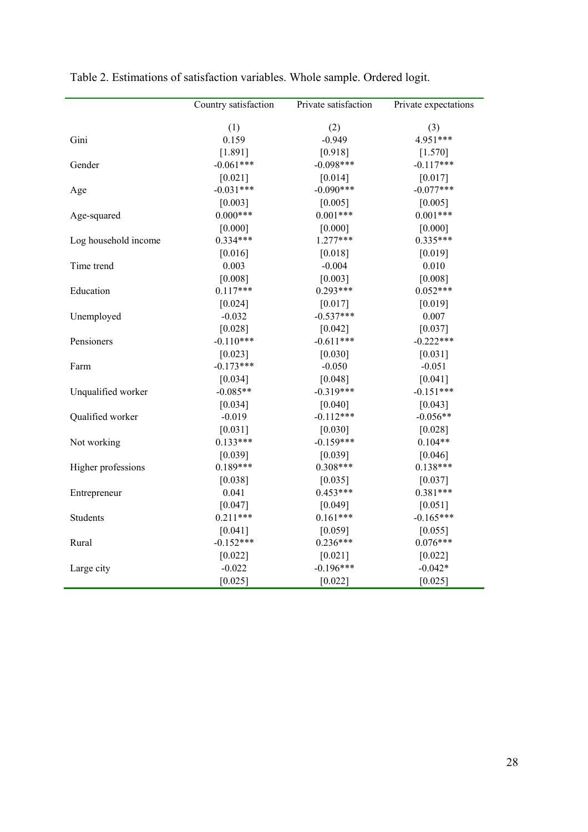|                      | Country satisfaction | Private satisfaction | Private expectations |
|----------------------|----------------------|----------------------|----------------------|
|                      | (1)                  | (2)                  | (3)                  |
| Gini                 | 0.159                | $-0.949$             | 4.951***             |
|                      | [1.891]              | [0.918]              | $[1.570]$            |
| Gender               | $-0.061***$          | $-0.098***$          | $-0.117***$          |
|                      | [0.021]              | [0.014]              | [0.017]              |
| Age                  | $-0.031***$          | $-0.090***$          | $-0.077***$          |
|                      | [0.003]              | [0.005]              | [0.005]              |
| Age-squared          | $0.000***$           | $0.001***$           | $0.001***$           |
|                      | [0.000]              | [0.000]              | [0.000]              |
| Log household income | $0.334***$           | $1.277***$           | $0.335***$           |
|                      | $[0.016]$            | [0.018]              | [0.019]              |
| Time trend           | 0.003                | $-0.004$             | 0.010                |
|                      | [0.008]              | [0.003]              | [0.008]              |
| Education            | $0.117***$           | $0.293***$           | $0.052***$           |
|                      | [0.024]              | [0.017]              | [0.019]              |
| Unemployed           | $-0.032$             | $-0.537***$          | 0.007                |
|                      | [0.028]              | [0.042]              | [0.037]              |
| Pensioners           | $-0.110***$          | $-0.611***$          | $-0.222***$          |
|                      | [0.023]              | [0.030]              | $[0.031]$            |
| Farm                 | $-0.173***$          | $-0.050$             | $-0.051$             |
|                      | [0.034]              | [0.048]              | [0.041]              |
| Unqualified worker   | $-0.085**$           | $-0.319***$          | $-0.151***$          |
|                      | [0.034]              | [0.040]              | [0.043]              |
| Qualified worker     | $-0.019$             | $-0.112***$          | $-0.056**$           |
|                      | [0.031]              | [0.030]              | [0.028]              |
| Not working          | $0.133***$           | $-0.159***$          | $0.104**$            |
|                      | [0.039]              | [0.039]              | [0.046]              |
| Higher professions   | $0.189***$           | $0.308***$           | $0.138***$           |
|                      | [0.038]              | [0.035]              | [0.037]              |
| Entrepreneur         | 0.041                | $0.453***$           | $0.381***$           |
|                      | [0.047]              | [0.049]              | [0.051]              |
| Students             | $0.211***$           | $0.161***$           | $-0.165***$          |
|                      | [0.041]              | [0.059]              | [0.055]              |
| Rural                | $-0.152***$          | $0.236***$           | $0.076***$           |
|                      | [0.022]              | [0.021]              | [0.022]              |
| Large city           | $-0.022$             | $-0.196***$          | $-0.042*$            |
|                      | [0.025]              | [0.022]              | [0.025]              |

Table 2. Estimations of satisfaction variables. Whole sample. Ordered logit.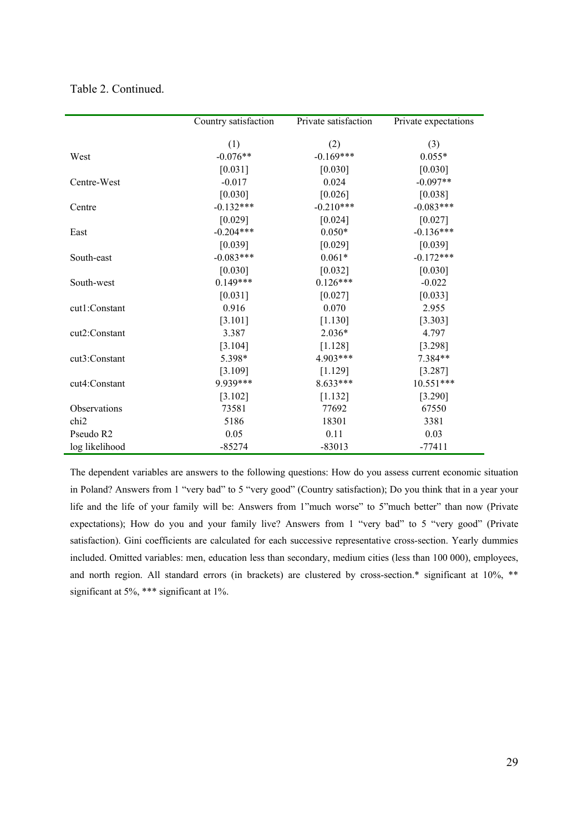|                  | Country satisfaction | Private satisfaction | Private expectations |
|------------------|----------------------|----------------------|----------------------|
|                  |                      |                      |                      |
|                  | (1)                  | (2)                  | (3)                  |
| West             | $-0.076**$           | $-0.169***$          | $0.055*$             |
|                  | $[0.031]$            | $[0.030]$            | [0.030]              |
| Centre-West      | $-0.017$             | 0.024                | $-0.097**$           |
|                  | [0.030]              | [0.026]              | [0.038]              |
| Centre           | $-0.132***$          | $-0.210***$          | $-0.083***$          |
|                  | [0.029]              | [0.024]              | [0.027]              |
| East             | $-0.204***$          | $0.050*$             | $-0.136***$          |
|                  | [0.039]              | [0.029]              | [0.039]              |
| South-east       | $-0.083***$          | $0.061*$             | $-0.172***$          |
|                  | [0.030]              | [0.032]              | [0.030]              |
| South-west       | $0.149***$           | $0.126***$           | $-0.022$             |
|                  | [0.031]              | [0.027]              | [0.033]              |
| cut1:Constant    | 0.916                | 0.070                | 2.955                |
|                  | [3.101]              | [1.130]              | [3.303]              |
| cut2:Constant    | 3.387                | $2.036*$             | 4.797                |
|                  | [3.104]              | [1.128]              | [3.298]              |
| cut3:Constant    | 5.398*               | 4.903***             | 7.384**              |
|                  | [3.109]              | [1.129]              | [3.287]              |
| cut4:Constant    | 9.939***             | $8.633***$           | 10.551***            |
|                  | [3.102]              | [1.132]              | [3.290]              |
| Observations     | 73581                | 77692                | 67550                |
| chi <sub>2</sub> | 5186                 | 18301                | 3381                 |
| Pseudo R2        | 0.05                 | 0.11                 | 0.03                 |
| log likelihood   | $-85274$             | $-83013$             | $-77411$             |

Table 2. Continued.

The dependent variables are answers to the following questions: How do you assess current economic situation in Poland? Answers from 1 "very bad" to 5 "very good" (Country satisfaction); Do you think that in a year your life and the life of your family will be: Answers from 1"much worse" to 5"much better" than now (Private expectations); How do you and your family live? Answers from 1 "very bad" to 5 "very good" (Private satisfaction). Gini coefficients are calculated for each successive representative cross-section. Yearly dummies included. Omitted variables: men, education less than secondary, medium cities (less than 100 000), employees, and north region. All standard errors (in brackets) are clustered by cross-section.\* significant at 10%, \*\* significant at 5%, \*\*\* significant at 1%.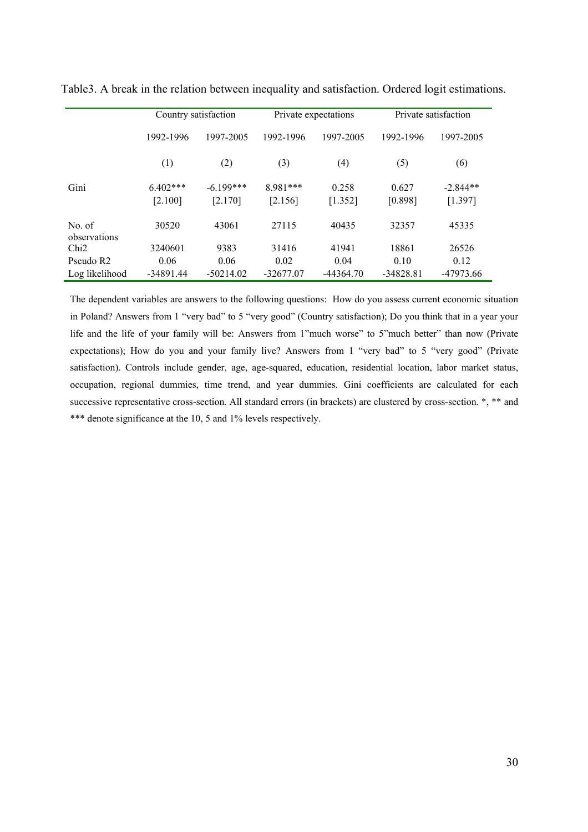|                        | Country satisfaction  |                        |                       | Private expectations | Private satisfaction |                       |
|------------------------|-----------------------|------------------------|-----------------------|----------------------|----------------------|-----------------------|
|                        | 1992-1996             | 1997-2005              | 1992-1996             | 1997-2005            | 1992-1996            | 1997-2005             |
|                        | (1)                   | (2)                    | (3)                   | (4)                  | (5)                  | (6)                   |
| Gini                   | $6.402***$<br>[2.100] | $-6.199***$<br>[2.170] | $8.981***$<br>[2.156] | 0.258<br>[1.352]     | 0.627<br>[0.898]     | $-2.844**$<br>[1.397] |
| No. of<br>observations | 30520                 | 43061                  | 27115                 | 40435                | 32357                | 45335                 |
| Chi2                   | 3240601               | 9383                   | 31416                 | 41941                | 18861                | 26526                 |
| Pseudo R <sub>2</sub>  | 0.06                  | 0.06                   | 0.02                  | 0.04                 | 0.10                 | 0.12                  |
| Log likelihood         | $-34891.44$           | $-50214.02$            | $-32677.07$           | $-44364.70$          | $-34828.81$          | -47973.66             |

Table3. A break in the relation between inequality and satisfaction. Ordered logit estimations.

The dependent variables are answers to the following questions: How do you assess current economic situation in Poland? Answers from 1 "very bad" to 5 "very good" (Country satisfaction); Do you think that in a year your life and the life of your family will be: Answers from 1"much worse" to 5"much better" than now (Private expectations); How do you and your family live? Answers from 1 "very bad" to 5 "very good" (Private satisfaction). Controls include gender, age, age-squared, education, residential location, labor market status, occupation, regional dummies, time trend, and year dummies. Gini coefficients are calculated for each successive representative cross-section. All standard errors (in brackets) are clustered by cross-section. \*, \*\* and \*\*\* denote significance at the 10, 5 and 1% levels respectively.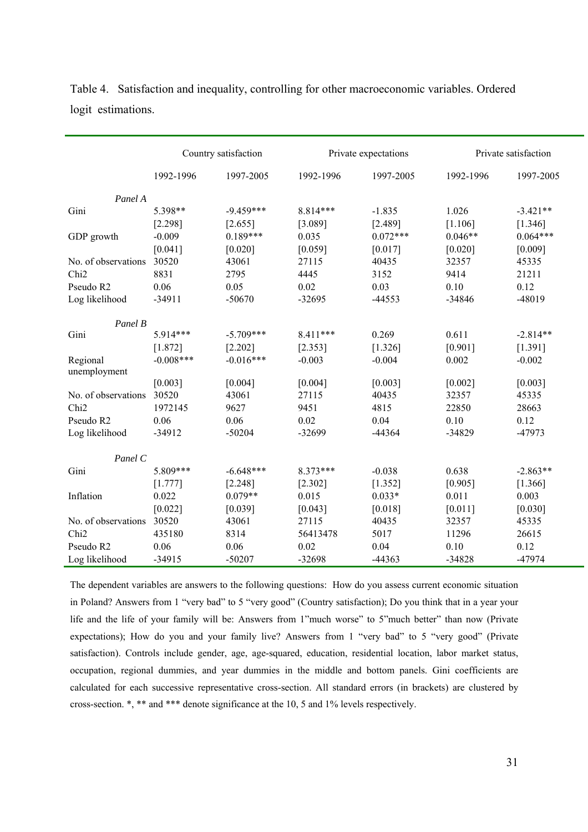|                          | Country satisfaction |             |           | Private expectations |           | Private satisfaction |
|--------------------------|----------------------|-------------|-----------|----------------------|-----------|----------------------|
|                          | 1992-1996            | 1997-2005   | 1992-1996 | 1997-2005            | 1992-1996 | 1997-2005            |
| Panel A                  |                      |             |           |                      |           |                      |
| Gini                     | 5.398**              | $-9.459***$ | 8.814***  | $-1.835$             | 1.026     | $-3.421**$           |
|                          | [2.298]              | [2.655]     | [3.089]   | [2.489]              | [1.106]   | [1.346]              |
| GDP growth               | $-0.009$             | $0.189***$  | 0.035     | $0.072***$           | $0.046**$ | $0.064***$           |
|                          | [0.041]              | [0.020]     | [0.059]   | [0.017]              | [0.020]   | [0.009]              |
| No. of observations      | 30520                | 43061       | 27115     | 40435                | 32357     | 45335                |
| Chi <sub>2</sub>         | 8831                 | 2795        | 4445      | 3152                 | 9414      | 21211                |
| Pseudo R2                | 0.06                 | 0.05        | 0.02      | 0.03                 | 0.10      | 0.12                 |
| Log likelihood           | $-34911$             | $-50670$    | $-32695$  | $-44553$             | -34846    | -48019               |
| Panel B                  |                      |             |           |                      |           |                      |
| Gini                     | 5.914***             | $-5.709***$ | 8.411***  | 0.269                | 0.611     | $-2.814**$           |
|                          | [1.872]              | [2.202]     | [2.353]   | [1.326]              | [0.901]   | [1.391]              |
| Regional<br>unemployment | $-0.008$ ***         | $-0.016***$ | $-0.003$  | $-0.004$             | 0.002     | $-0.002$             |
|                          | [0.003]              | [0.004]     | [0.004]   | [0.003]              | [0.002]   | [0.003]              |
| No. of observations      | 30520                | 43061       | 27115     | 40435                | 32357     | 45335                |
| Chi <sub>2</sub>         | 1972145              | 9627        | 9451      | 4815                 | 22850     | 28663                |
| Pseudo R2                | 0.06                 | 0.06        | 0.02      | 0.04                 | 0.10      | 0.12                 |
| Log likelihood           | $-34912$             | $-50204$    | -32699    | -44364               | -34829    | -47973               |
| Panel C                  |                      |             |           |                      |           |                      |
| Gini                     | 5.809***             | $-6.648***$ | 8.373***  | $-0.038$             | 0.638     | $-2.863**$           |
|                          | [1.777]              | [2.248]     | [2.302]   | [1.352]              | [0.905]   | [1.366]              |
| Inflation                | 0.022                | $0.079**$   | 0.015     | $0.033*$             | 0.011     | 0.003                |
|                          | [0.022]              | [0.039]     | [0.043]   | [0.018]              | [0.011]   | [0.030]              |
| No. of observations      | 30520                | 43061       | 27115     | 40435                | 32357     | 45335                |
| Chi <sub>2</sub>         | 435180               | 8314        | 56413478  | 5017                 | 11296     | 26615                |
| Pseudo R2                | 0.06                 | 0.06        | 0.02      | 0.04                 | 0.10      | 0.12                 |
| Log likelihood           | $-34915$             | $-50207$    | $-32698$  | $-44363$             | $-34828$  | -47974               |

Table 4. Satisfaction and inequality, controlling for other macroeconomic variables. Ordered logit estimations.

The dependent variables are answers to the following questions: How do you assess current economic situation in Poland? Answers from 1 "very bad" to 5 "very good" (Country satisfaction); Do you think that in a year your life and the life of your family will be: Answers from 1"much worse" to 5"much better" than now (Private expectations); How do you and your family live? Answers from 1 "very bad" to 5 "very good" (Private satisfaction). Controls include gender, age, age-squared, education, residential location, labor market status, occupation, regional dummies, and year dummies in the middle and bottom panels. Gini coefficients are calculated for each successive representative cross-section. All standard errors (in brackets) are clustered by cross-section. \*, \*\* and \*\*\* denote significance at the 10, 5 and 1% levels respectively.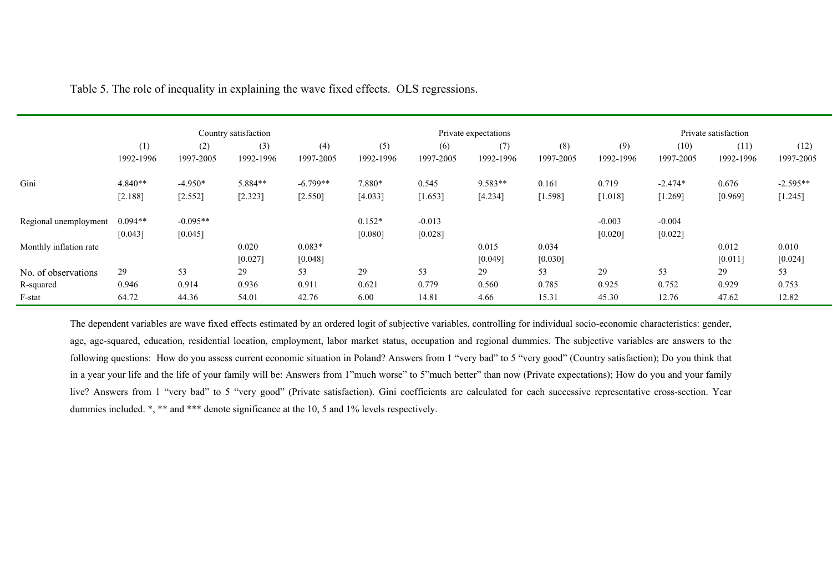|                        |                      |                       | Country satisfaction |                     |                     |                     | Private expectations |                  |                     |                     | Private satisfaction |                  |
|------------------------|----------------------|-----------------------|----------------------|---------------------|---------------------|---------------------|----------------------|------------------|---------------------|---------------------|----------------------|------------------|
|                        | (1)                  | (2)                   | (3)                  | (4)                 | (5)                 | (6)                 | (7)                  | (8)              | (9)                 | (10)                | (11)                 | (12)             |
|                        | 1992-1996            | 1997-2005             | 1992-1996            | 1997-2005           | 1992-1996           | 1997-2005           | 1992-1996            | 1997-2005        | 1992-1996           | 1997-2005           | 1992-1996            | 1997-2005        |
| Gini                   | $4.840**$            | $-4.950*$             | 5.884**              | $-6.799**$          | 7.880*              | 0.545               | 9.583**              | 0.161            | 0.719               | $-2.474*$           | 0.676                | $-2.595**$       |
|                        | [2.188]              | [2.552]               | [2.323]              | [2.550]             | [4.033]             | [1.653]             | [4.234]              | [1.598]          | [1.018]             | [1.269]             | [0.969]              | [1.245]          |
| Regional unemployment  | $0.094**$<br>[0.043] | $-0.095**$<br>[0.045] |                      |                     | $0.152*$<br>[0.080] | $-0.013$<br>[0.028] |                      |                  | $-0.003$<br>[0.020] | $-0.004$<br>[0.022] |                      |                  |
| Monthly inflation rate |                      |                       | 0.020<br>[0.027]     | $0.083*$<br>[0.048] |                     |                     | 0.015<br>[0.049]     | 0.034<br>[0.030] |                     |                     | 0.012<br>[0.011]     | 0.010<br>[0.024] |
| No. of observations    | 29                   | 53                    | 29                   | 53                  | 29                  | 53                  | 29                   | 53               | 29                  | 53                  | 29                   | 53               |
| R-squared              | 0.946                | 0.914                 | 0.936                | 0.911               | 0.621               | 0.779               | 0.560                | 0.785            | 0.925               | 0.752               | 0.929                | 0.753            |
| F-stat                 | 64.72                | 44.36                 | 54.01                | 42.76               | 6.00                | 14.81               | 4.66                 | 15.31            | 45.30               | 12.76               | 47.62                | 12.82            |

Table 5. The role of inequality in explaining the wave fixed effects. OLS regressions.

The dependent variables are wave fixed effects estimated by an ordered logit of subjective variables, controlling for individual socio-economic characteristics: gender, age, age-squared, education, residential location, employment, labor market status, occupation and regional dummies. The subjective variables are answers to the following questions: How do you assess current economic situation in Poland? Answers from 1 "very bad" to 5 "very good" (Country satisfaction); Do you think that in a year your life and the life of your family will be: Answers from 1"much worse" to 5"much better" than now (Private expectations); How do you and your family live? Answers from 1 "very bad" to 5 "very good" (Private satisfaction). Gini coefficients are calculated for each successive representative cross-section. Year dummies included. \*, \*\* and \*\*\* denote significance at the 10, 5 and 1% levels respectively.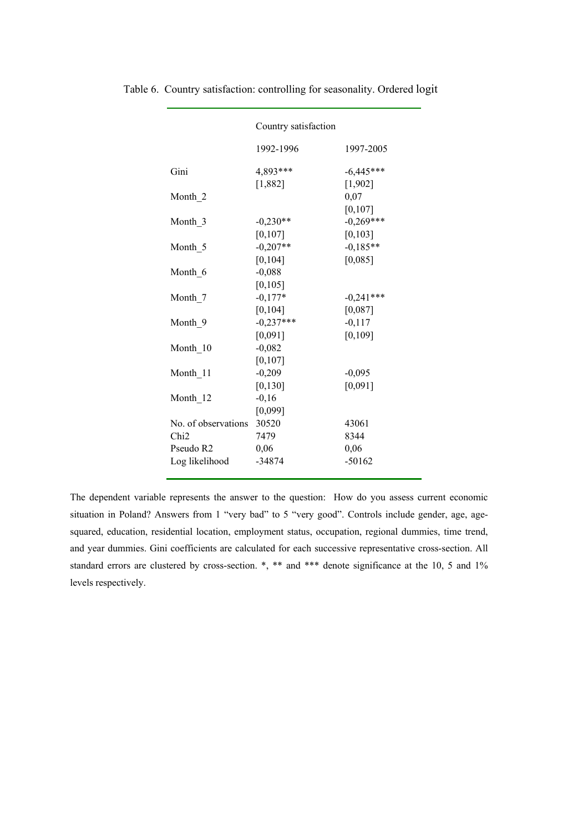|                                         | Country satisfaction   |                         |
|-----------------------------------------|------------------------|-------------------------|
|                                         | 1992-1996              | 1997-2005               |
| Gini                                    | 4,893***<br>[1,882]    | $-6,445***$<br>[1,902]  |
| Month 2                                 |                        | 0,07<br>[0, 107]        |
| Month 3                                 | $-0.230**$<br>[0, 107] | $-0,269***$<br>[0, 103] |
| Month 5                                 | $-0,207**$<br>[0, 104] | $-0,185**$<br>[0,085]   |
| Month 6                                 | $-0,088$<br>[0, 105]   |                         |
| Month 7                                 | $-0,177*$<br>[0, 104]  | $-0,241***$<br>[0,087]  |
| Month 9                                 | $-0.237***$<br>[0,091] | $-0,117$<br>[0, 109]    |
| Month 10                                | $-0,082$<br>[0, 107]   |                         |
| Month 11                                | $-0,209$<br>[0, 130]   | $-0,095$<br>[0,091]     |
| Month 12                                | $-0,16$<br>[0,099]     |                         |
| No. of observations<br>Chi <sub>2</sub> | 30520<br>7479          | 43061<br>8344           |
| Pseudo R2<br>Log likelihood             | 0,06<br>$-34874$       | 0,06<br>$-50162$        |

Table 6. Country satisfaction: controlling for seasonality. Ordered logit

The dependent variable represents the answer to the question: How do you assess current economic situation in Poland? Answers from 1 "very bad" to 5 "very good". Controls include gender, age, agesquared, education, residential location, employment status, occupation, regional dummies, time trend, and year dummies. Gini coefficients are calculated for each successive representative cross-section. All standard errors are clustered by cross-section. \*, \*\* and \*\*\* denote significance at the 10, 5 and 1% levels respectively.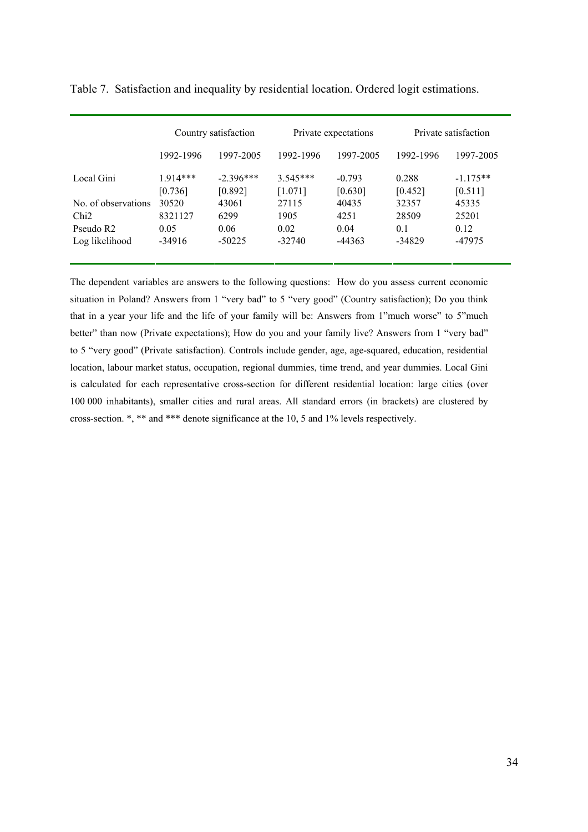|                       | Country satisfaction |                        | Private expectations  |                     | Private satisfaction |                       |
|-----------------------|----------------------|------------------------|-----------------------|---------------------|----------------------|-----------------------|
|                       | 1992-1996            | 1997-2005              | 1992-1996             | 1997-2005           | 1992-1996            | 1997-2005             |
| Local Gini            | $1914***$<br>[0.736] | $-2.396***$<br>[0.892] | $3.545***$<br>[1.071] | $-0.793$<br>[0.630] | 0.288<br>[0.452]     | $-1.175**$<br>[0.511] |
| No. of observations   | 30520                | 43061                  | 27115                 | 40435               | 32357                | 45335                 |
| Chi2                  | 8321127              | 6299                   | 1905                  | 4251                | 28509                | 25201                 |
| Pseudo R <sub>2</sub> | 0.05                 | 0.06                   | 0.02                  | 0.04                | 0.1                  | 0.12                  |
| Log likelihood        | -34916               | $-50225$               | $-32740$              | $-44363$            | $-34829$             | -47975                |

Table 7. Satisfaction and inequality by residential location. Ordered logit estimations.

The dependent variables are answers to the following questions: How do you assess current economic situation in Poland? Answers from 1 "very bad" to 5 "very good" (Country satisfaction); Do you think that in a year your life and the life of your family will be: Answers from 1"much worse" to 5"much better" than now (Private expectations); How do you and your family live? Answers from 1 "very bad" to 5 "very good" (Private satisfaction). Controls include gender, age, age-squared, education, residential location, labour market status, occupation, regional dummies, time trend, and year dummies. Local Gini is calculated for each representative cross-section for different residential location: large cities (over 100 000 inhabitants), smaller cities and rural areas. All standard errors (in brackets) are clustered by cross-section. \*, \*\* and \*\*\* denote significance at the 10, 5 and 1% levels respectively.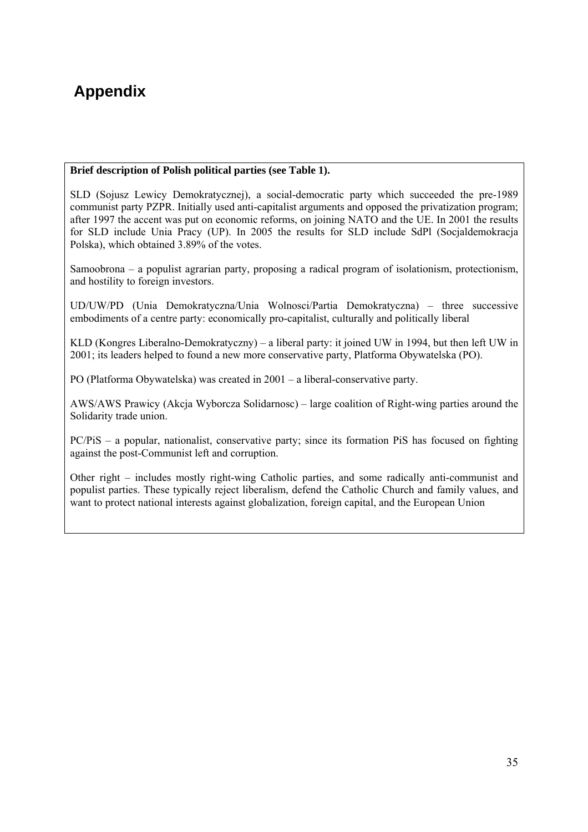# **Appendix**

#### **Brief description of Polish political parties (see Table 1).**

SLD (Sojusz Lewicy Demokratycznej), a social-democratic party which succeeded the pre-1989 communist party PZPR. Initially used anti-capitalist arguments and opposed the privatization program; after 1997 the accent was put on economic reforms, on joining NATO and the UE. In 2001 the results for SLD include Unia Pracy (UP). In 2005 the results for SLD include SdPl (Socjaldemokracja Polska), which obtained 3.89% of the votes.

Samoobrona – a populist agrarian party, proposing a radical program of isolationism, protectionism, and hostility to foreign investors.

UD/UW/PD (Unia Demokratyczna/Unia Wolnosci/Partia Demokratyczna) – three successive embodiments of a centre party: economically pro-capitalist, culturally and politically liberal

KLD (Kongres Liberalno-Demokratyczny) – a liberal party: it joined UW in 1994, but then left UW in 2001; its leaders helped to found a new more conservative party, Platforma Obywatelska (PO).

PO (Platforma Obywatelska) was created in 2001 – a liberal-conservative party.

AWS/AWS Prawicy (Akcja Wyborcza Solidarnosc) – large coalition of Right-wing parties around the Solidarity trade union.

PC/PiS – a popular, nationalist, conservative party; since its formation PiS has focused on fighting against the post-Communist left and corruption.

Other right – includes mostly right-wing Catholic parties, and some radically anti-communist and populist parties. These typically reject liberalism, defend the Catholic Church and family values, and want to protect national interests against globalization, foreign capital, and the European Union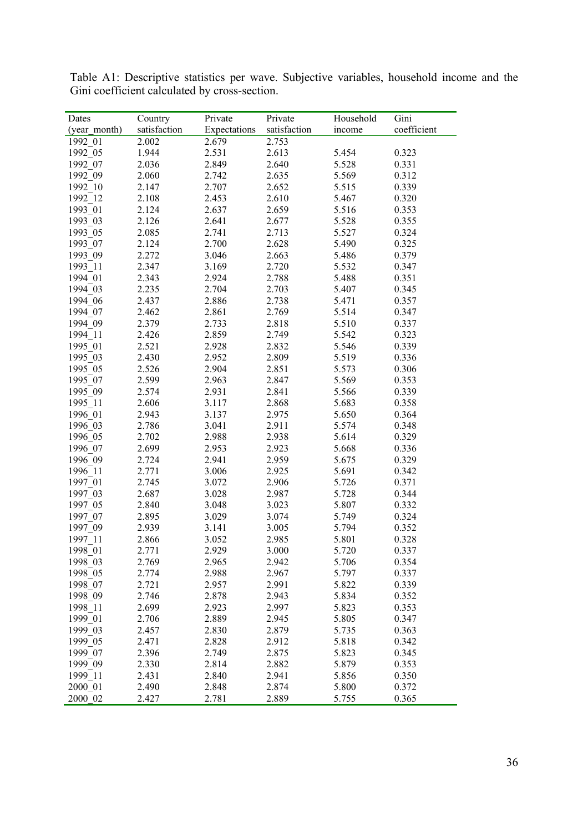| Dates        | Country      | Private      | Private      | Household | Gini        |
|--------------|--------------|--------------|--------------|-----------|-------------|
| (year month) | satisfaction | Expectations | satisfaction | income    | coefficient |
| 1992 01      | 2.002        | 2.679        | 2.753        |           |             |
| 1992 05      | 1.944        | 2.531        | 2.613        | 5.454     | 0.323       |
| 1992 07      | 2.036        | 2.849        | 2.640        | 5.528     | 0.331       |
| 1992 09      | 2.060        | 2.742        | 2.635        | 5.569     | 0.312       |
| 1992 10      | 2.147        | 2.707        | 2.652        | 5.515     | 0.339       |
| 1992 12      | 2.108        | 2.453        | 2.610        | 5.467     | 0.320       |
| 1993 01      | 2.124        | 2.637        | 2.659        | 5.516     | 0.353       |
| 1993 03      | 2.126        | 2.641        | 2.677        | 5.528     | 0.355       |
| 1993 05      | 2.085        | 2.741        | 2.713        | 5.527     | 0.324       |
| 1993 07      | 2.124        | 2.700        | 2.628        | 5.490     | 0.325       |
| 1993 09      | 2.272        | 3.046        | 2.663        | 5.486     | 0.379       |
| 1993 11      | 2.347        | 3.169        | 2.720        | 5.532     | 0.347       |
| 1994 01      | 2.343        | 2.924        | 2.788        | 5.488     | 0.351       |
| 1994 03      | 2.235        | 2.704        | 2.703        | 5.407     | 0.345       |
| 1994 06      | 2.437        | 2.886        | 2.738        | 5.471     | 0.357       |
| 1994 07      | 2.462        | 2.861        | 2.769        | 5.514     | 0.347       |
| 1994 09      | 2.379        | 2.733        | 2.818        | 5.510     | 0.337       |
| 1994 11      | 2.426        | 2.859        | 2.749        | 5.542     | 0.323       |
| 1995 01      | 2.521        | 2.928        | 2.832        | 5.546     | 0.339       |
| 1995 03      | 2.430        | 2.952        | 2.809        | 5.519     | 0.336       |
| 1995 05      | 2.526        | 2.904        | 2.851        | 5.573     | 0.306       |
| 1995 07      | 2.599        | 2.963        | 2.847        | 5.569     | 0.353       |
| 1995 09      | 2.574        | 2.931        | 2.841        | 5.566     | 0.339       |
| 1995 11      | 2.606        | 3.117        | 2.868        | 5.683     | 0.358       |
| 1996 01      | 2.943        | 3.137        | 2.975        | 5.650     | 0.364       |
| 1996 03      | 2.786        | 3.041        | 2.911        | 5.574     | 0.348       |
| 1996 05      | 2.702        | 2.988        | 2.938        | 5.614     | 0.329       |
| 1996 07      | 2.699        | 2.953        | 2.923        | 5.668     | 0.336       |
| 1996 09      | 2.724        | 2.941        | 2.959        | 5.675     | 0.329       |
| 1996 11      | 2.771        | 3.006        | 2.925        | 5.691     | 0.342       |
| 1997 01      | 2.745        | 3.072        | 2.906        | 5.726     | 0.371       |
| 1997 03      | 2.687        | 3.028        | 2.987        | 5.728     | 0.344       |
| 1997_05      | 2.840        | 3.048        | 3.023        | 5.807     | 0.332       |
| 1997 07      | 2.895        | 3.029        | 3.074        | 5.749     | 0.324       |
| 1997 09      | 2.939        | 3.141        | 3.005        | 5.794     | 0.352       |
| 1997 11      | 2.866        | 3.052        | 2.985        | 5.801     | 0.328       |
| 1998_01      | 2.771        | 2.929        | 3.000        | 5.720     | 0.337       |
| 1998 03      | 2.769        | 2.965        | 2.942        | 5.706     | 0.354       |
| 1998 05      | 2.774        | 2.988        | 2.967        | 5.797     | 0.337       |
| 1998 07      | 2.721        | 2.957        | 2.991        | 5.822     | 0.339       |
| 1998 09      | 2.746        | 2.878        | 2.943        | 5.834     | 0.352       |
| 1998 11      | 2.699        | 2.923        | 2.997        | 5.823     | 0.353       |
| 1999 01      | 2.706        | 2.889        | 2.945        | 5.805     | 0.347       |
| 1999_03      | 2.457        | 2.830        | 2.879        | 5.735     | 0.363       |
| 1999 05      | 2.471        | 2.828        | 2.912        | 5.818     | 0.342       |
| 1999 07      | 2.396        | 2.749        | 2.875        | 5.823     | 0.345       |
| 1999_09      | 2.330        | 2.814        | 2.882        | 5.879     | 0.353       |
| 1999_11      | 2.431        | 2.840        | 2.941        | 5.856     | 0.350       |
| 2000 01      | 2.490        | 2.848        | 2.874        | 5.800     | 0.372       |
| 2000 02      | 2.427        | 2.781        | 2.889        | 5.755     | 0.365       |

Table A1: Descriptive statistics per wave. Subjective variables, household income and the Gini coefficient calculated by cross-section.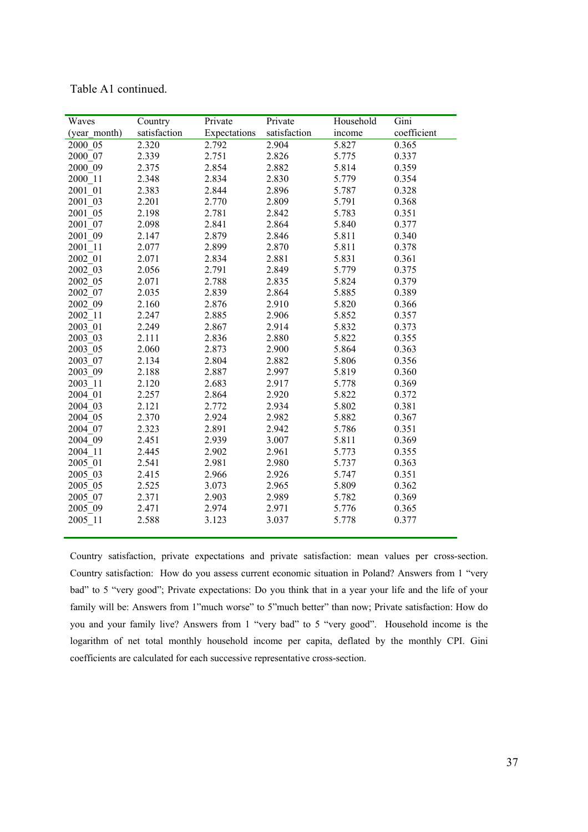| Waves        | Country      | Private      | Private      | Household | Gini        |
|--------------|--------------|--------------|--------------|-----------|-------------|
| (year month) | satisfaction | Expectations | satisfaction | income    | coefficient |
| 2000 05      | 2.320        | 2.792        | 2.904        | 5.827     | 0.365       |
| 2000 07      | 2.339        | 2.751        | 2.826        | 5.775     | 0.337       |
| 2000 09      | 2.375        | 2.854        | 2.882        | 5.814     | 0.359       |
| 2000 11      | 2.348        | 2.834        | 2.830        | 5.779     | 0.354       |
| 2001 01      | 2.383        | 2.844        | 2.896        | 5.787     | 0.328       |
| 2001 03      | 2.201        | 2.770        | 2.809        | 5.791     | 0.368       |
| 2001 05      | 2.198        | 2.781        | 2.842        | 5.783     | 0.351       |
| 2001 07      | 2.098        | 2.841        | 2.864        | 5.840     | 0.377       |
| 2001 09      | 2.147        | 2.879        | 2.846        | 5.811     | 0.340       |
| 2001 11      | 2.077        | 2.899        | 2.870        | 5.811     | 0.378       |
| 2002 01      | 2.071        | 2.834        | 2.881        | 5.831     | 0.361       |
| 2002 03      | 2.056        | 2.791        | 2.849        | 5.779     | 0.375       |
| 2002 05      | 2.071        | 2.788        | 2.835        | 5.824     | 0.379       |
| 2002 07      | 2.035        | 2.839        | 2.864        | 5.885     | 0.389       |
| 2002 09      | 2.160        | 2.876        | 2.910        | 5.820     | 0.366       |
| 2002 11      | 2.247        | 2.885        | 2.906        | 5.852     | 0.357       |
| 2003 01      | 2.249        | 2.867        | 2.914        | 5.832     | 0.373       |
| 2003 03      | 2.111        | 2.836        | 2.880        | 5.822     | 0.355       |
| 2003 05      | 2.060        | 2.873        | 2.900        | 5.864     | 0.363       |
| 2003 07      | 2.134        | 2.804        | 2.882        | 5.806     | 0.356       |
| 2003 09      | 2.188        | 2.887        | 2.997        | 5.819     | 0.360       |
| 2003 11      | 2.120        | 2.683        | 2.917        | 5.778     | 0.369       |
| 2004 01      | 2.257        | 2.864        | 2.920        | 5.822     | 0.372       |
| 2004 03      | 2.121        | 2.772        | 2.934        | 5.802     | 0.381       |
| 2004 05      | 2.370        | 2.924        | 2.982        | 5.882     | 0.367       |
| 2004 07      | 2.323        | 2.891        | 2.942        | 5.786     | 0.351       |
| 2004 09      | 2.451        | 2.939        | 3.007        | 5.811     | 0.369       |
| 2004 11      | 2.445        | 2.902        | 2.961        | 5.773     | 0.355       |
| 2005 01      | 2.541        | 2.981        | 2.980        | 5.737     | 0.363       |
| 2005 03      | 2.415        | 2.966        | 2.926        | 5.747     | 0.351       |
| 2005 05      | 2.525        | 3.073        | 2.965        | 5.809     | 0.362       |
| 2005 07      | 2.371        | 2.903        | 2.989        | 5.782     | 0.369       |
| 2005 09      | 2.471        | 2.974        | 2.971        | 5.776     | 0.365       |
| 2005 11      | 2.588        | 3.123        | 3.037        | 5.778     | 0.377       |

Table A1 continued.

Country satisfaction, private expectations and private satisfaction: mean values per cross-section. Country satisfaction: How do you assess current economic situation in Poland? Answers from 1 "very bad" to 5 "very good"; Private expectations: Do you think that in a year your life and the life of your family will be: Answers from 1"much worse" to 5"much better" than now; Private satisfaction: How do you and your family live? Answers from 1 "very bad" to 5 "very good". Household income is the logarithm of net total monthly household income per capita, deflated by the monthly CPI. Gini coefficients are calculated for each successive representative cross-section.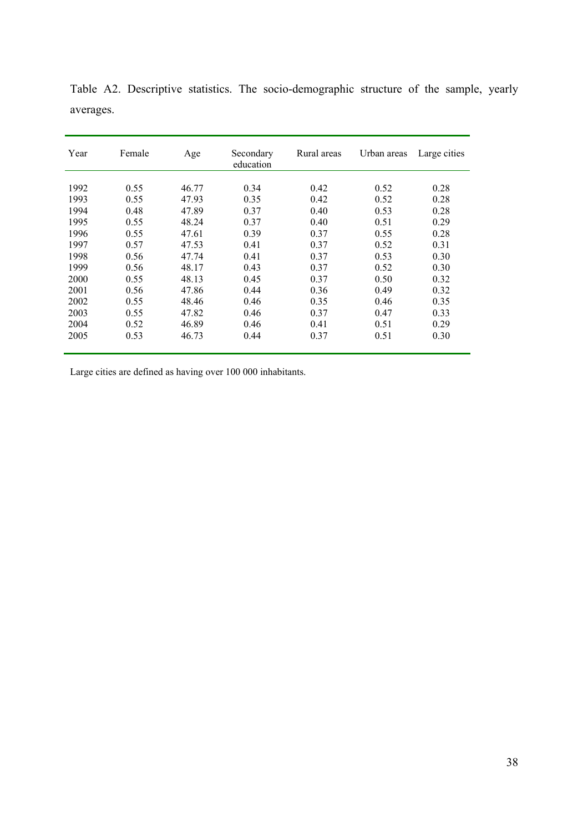| Year | Female | Age   | Secondary<br>education | Rural areas | Urban areas | Large cities |
|------|--------|-------|------------------------|-------------|-------------|--------------|
|      |        |       |                        |             |             |              |
| 1992 | 0.55   | 46.77 | 0.34                   | 0.42        | 0.52        | 0.28         |
| 1993 | 0.55   | 47.93 | 0.35                   | 0.42        | 0.52        | 0.28         |
| 1994 | 0.48   | 47.89 | 0.37                   | 0.40        | 0.53        | 0.28         |
| 1995 | 0.55   | 48.24 | 0.37                   | 0.40        | 0.51        | 0.29         |
| 1996 | 0.55   | 47.61 | 0.39                   | 0.37        | 0.55        | 0.28         |
| 1997 | 0.57   | 47.53 | 0.41                   | 0.37        | 0.52        | 0.31         |
| 1998 | 0.56   | 47.74 | 0.41                   | 0.37        | 0.53        | 0.30         |
| 1999 | 0.56   | 48.17 | 0.43                   | 0.37        | 0.52        | 0.30         |
| 2000 | 0.55   | 48.13 | 0.45                   | 0.37        | 0.50        | 0.32         |
| 2001 | 0.56   | 47.86 | 0.44                   | 0.36        | 0.49        | 0.32         |
| 2002 | 0.55   | 48.46 | 0.46                   | 0.35        | 0.46        | 0.35         |
| 2003 | 0.55   | 47.82 | 0.46                   | 0.37        | 0.47        | 0.33         |
| 2004 | 0.52   | 46.89 | 0.46                   | 0.41        | 0.51        | 0.29         |
| 2005 | 0.53   | 46.73 | 0.44                   | 0.37        | 0.51        | 0.30         |
|      |        |       |                        |             |             |              |

Table A2. Descriptive statistics. The socio-demographic structure of the sample, yearly averages.

Large cities are defined as having over 100 000 inhabitants.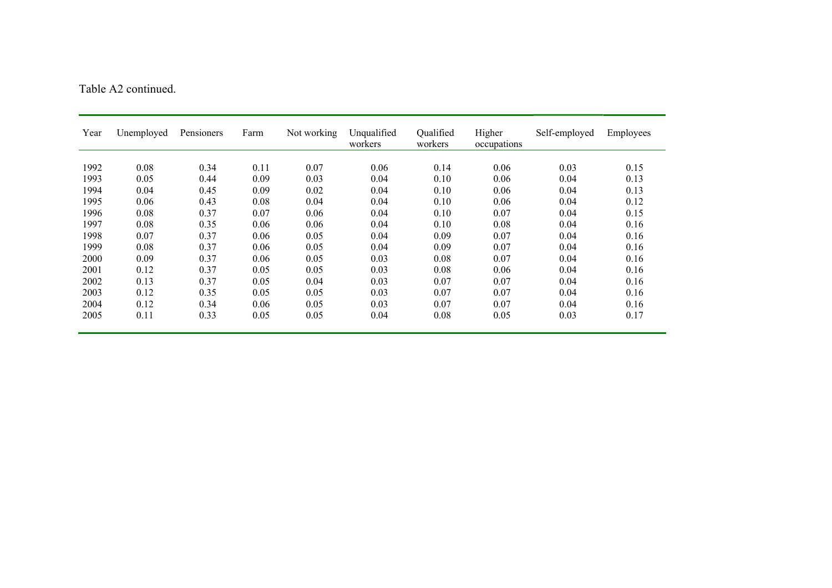|  | Table A2 continued. |  |
|--|---------------------|--|
|  |                     |  |

| Year | Unemployed | Pensioners | Farm | Not working | Unqualified<br>workers | Qualified<br>workers | Higher<br>occupations | Self-employed | Employees |
|------|------------|------------|------|-------------|------------------------|----------------------|-----------------------|---------------|-----------|
|      |            |            |      |             |                        |                      |                       |               |           |
| 1992 | 0.08       | 0.34       | 0.11 | 0.07        | 0.06                   | 0.14                 | 0.06                  | 0.03          | 0.15      |
| 1993 | 0.05       | 0.44       | 0.09 | 0.03        | 0.04                   | 0.10                 | 0.06                  | 0.04          | 0.13      |
| 1994 | 0.04       | 0.45       | 0.09 | 0.02        | 0.04                   | 0.10                 | 0.06                  | 0.04          | 0.13      |
| 1995 | 0.06       | 0.43       | 0.08 | 0.04        | 0.04                   | 0.10                 | 0.06                  | 0.04          | 0.12      |
| 1996 | 0.08       | 0.37       | 0.07 | 0.06        | 0.04                   | 0.10                 | 0.07                  | 0.04          | 0.15      |
| 1997 | 0.08       | 0.35       | 0.06 | 0.06        | 0.04                   | 0.10                 | 0.08                  | 0.04          | 0.16      |
| 1998 | 0.07       | 0.37       | 0.06 | 0.05        | 0.04                   | 0.09                 | 0.07                  | 0.04          | 0.16      |
| 1999 | 0.08       | 0.37       | 0.06 | 0.05        | 0.04                   | 0.09                 | 0.07                  | 0.04          | 0.16      |
| 2000 | 0.09       | 0.37       | 0.06 | 0.05        | 0.03                   | 0.08                 | 0.07                  | 0.04          | 0.16      |
| 2001 | 0.12       | 0.37       | 0.05 | 0.05        | 0.03                   | 0.08                 | 0.06                  | 0.04          | 0.16      |
| 2002 | 0.13       | 0.37       | 0.05 | 0.04        | 0.03                   | 0.07                 | 0.07                  | 0.04          | 0.16      |
| 2003 | 0.12       | 0.35       | 0.05 | 0.05        | 0.03                   | 0.07                 | 0.07                  | 0.04          | 0.16      |
| 2004 | 0.12       | 0.34       | 0.06 | 0.05        | 0.03                   | 0.07                 | 0.07                  | 0.04          | 0.16      |
| 2005 | 0.11       | 0.33       | 0.05 | 0.05        | 0.04                   | 0.08                 | 0.05                  | 0.03          | 0.17      |